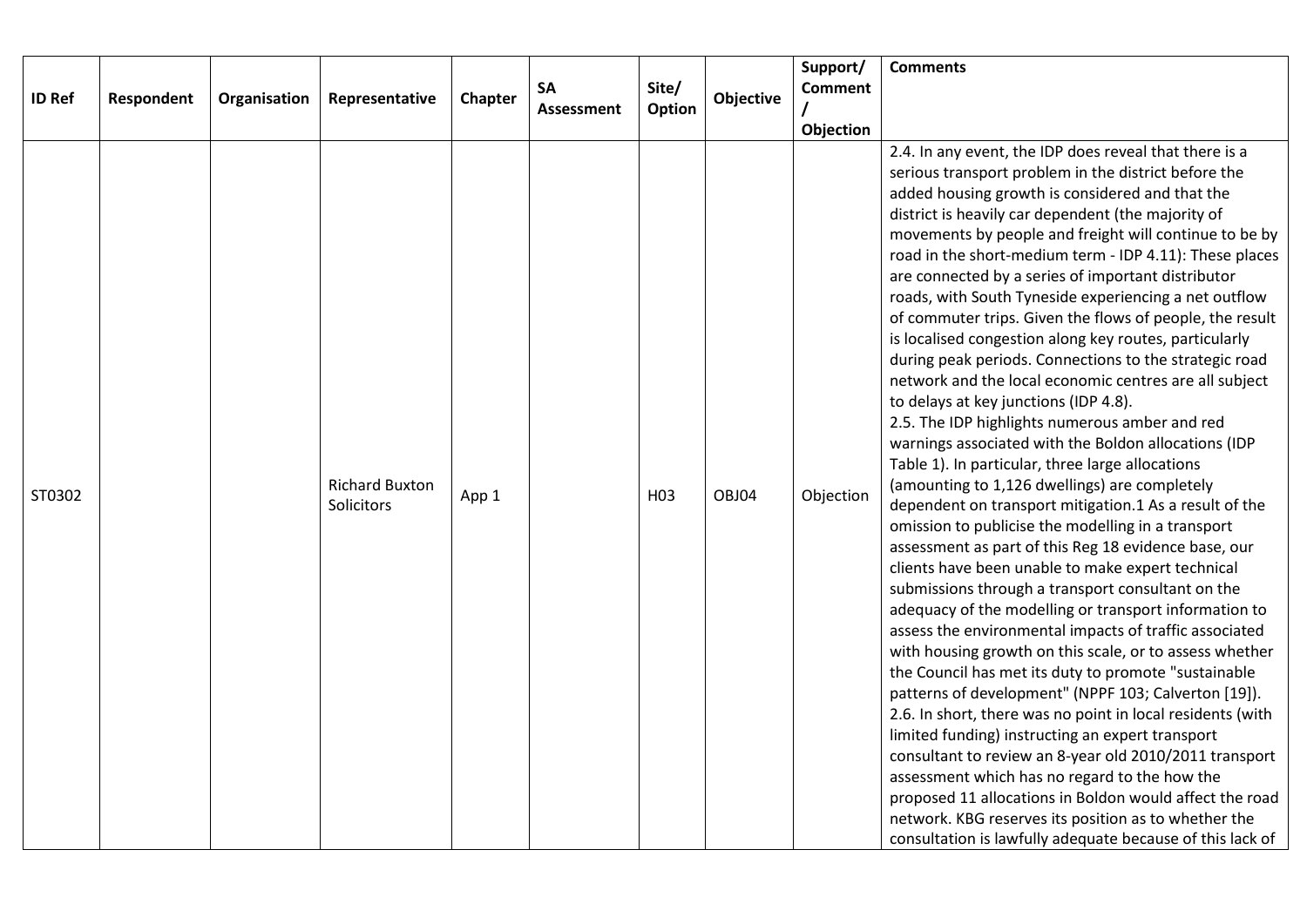|               |            |              |                       |         |                         |                 |           | Support/                                               | <b>Comments</b>                                                                                                  |
|---------------|------------|--------------|-----------------------|---------|-------------------------|-----------------|-----------|--------------------------------------------------------|------------------------------------------------------------------------------------------------------------------|
| <b>ID Ref</b> | Respondent | Organisation | Representative        | Chapter | SA<br><b>Assessment</b> | Site/<br>Option | Objective | <b>Comment</b>                                         |                                                                                                                  |
|               |            |              |                       |         |                         |                 |           |                                                        |                                                                                                                  |
|               |            |              |                       |         |                         |                 |           | Objection                                              | 2.4. In any event, the IDP does reveal that there is a                                                           |
|               |            |              |                       |         |                         |                 |           |                                                        | serious transport problem in the district before the                                                             |
|               |            |              |                       |         |                         |                 |           |                                                        | added housing growth is considered and that the                                                                  |
|               |            |              |                       |         |                         |                 |           |                                                        | district is heavily car dependent (the majority of                                                               |
|               |            |              |                       |         |                         |                 |           |                                                        | movements by people and freight will continue to be by                                                           |
|               |            |              |                       |         |                         |                 |           |                                                        | road in the short-medium term - IDP 4.11): These places                                                          |
|               |            |              |                       |         |                         |                 |           |                                                        | are connected by a series of important distributor                                                               |
|               |            |              |                       |         |                         |                 |           |                                                        | roads, with South Tyneside experiencing a net outflow                                                            |
|               |            |              |                       |         |                         |                 |           |                                                        | of commuter trips. Given the flows of people, the result                                                         |
|               |            |              |                       |         |                         |                 |           |                                                        | is localised congestion along key routes, particularly<br>during peak periods. Connections to the strategic road |
|               |            |              |                       |         |                         |                 |           |                                                        | network and the local economic centres are all subject                                                           |
|               |            |              |                       |         |                         |                 |           |                                                        | to delays at key junctions (IDP 4.8).                                                                            |
|               |            |              |                       |         |                         |                 |           |                                                        | 2.5. The IDP highlights numerous amber and red                                                                   |
|               |            |              |                       |         |                         |                 |           |                                                        | warnings associated with the Boldon allocations (IDP                                                             |
|               |            |              |                       |         |                         |                 |           |                                                        | Table 1). In particular, three large allocations                                                                 |
| ST0302        |            |              | <b>Richard Buxton</b> | App 1   |                         | H <sub>03</sub> | OBJ04     | Objection                                              | (amounting to 1,126 dwellings) are completely                                                                    |
|               |            | Solicitors   |                       |         |                         |                 |           | dependent on transport mitigation.1 As a result of the |                                                                                                                  |
|               |            |              |                       |         |                         |                 |           |                                                        | omission to publicise the modelling in a transport                                                               |
|               |            |              |                       |         |                         |                 |           |                                                        | assessment as part of this Reg 18 evidence base, our<br>clients have been unable to make expert technical        |
|               |            |              |                       |         |                         |                 |           |                                                        | submissions through a transport consultant on the                                                                |
|               |            |              |                       |         |                         |                 |           |                                                        | adequacy of the modelling or transport information to                                                            |
|               |            |              |                       |         |                         |                 |           |                                                        | assess the environmental impacts of traffic associated                                                           |
|               |            |              |                       |         |                         |                 |           |                                                        | with housing growth on this scale, or to assess whether                                                          |
|               |            |              |                       |         |                         |                 |           |                                                        | the Council has met its duty to promote "sustainable                                                             |
|               |            |              |                       |         |                         |                 |           |                                                        | patterns of development" (NPPF 103; Calverton [19]).                                                             |
|               |            |              |                       |         |                         |                 |           |                                                        | 2.6. In short, there was no point in local residents (with                                                       |
|               |            |              |                       |         |                         |                 |           |                                                        | limited funding) instructing an expert transport<br>consultant to review an 8-year old 2010/2011 transport       |
|               |            |              |                       |         |                         |                 |           |                                                        | assessment which has no regard to the how the                                                                    |
|               |            |              |                       |         |                         |                 |           |                                                        | proposed 11 allocations in Boldon would affect the road                                                          |
|               |            |              |                       |         |                         |                 |           |                                                        | network. KBG reserves its position as to whether the                                                             |
|               |            |              |                       |         |                         |                 |           |                                                        | consultation is lawfully adequate because of this lack of                                                        |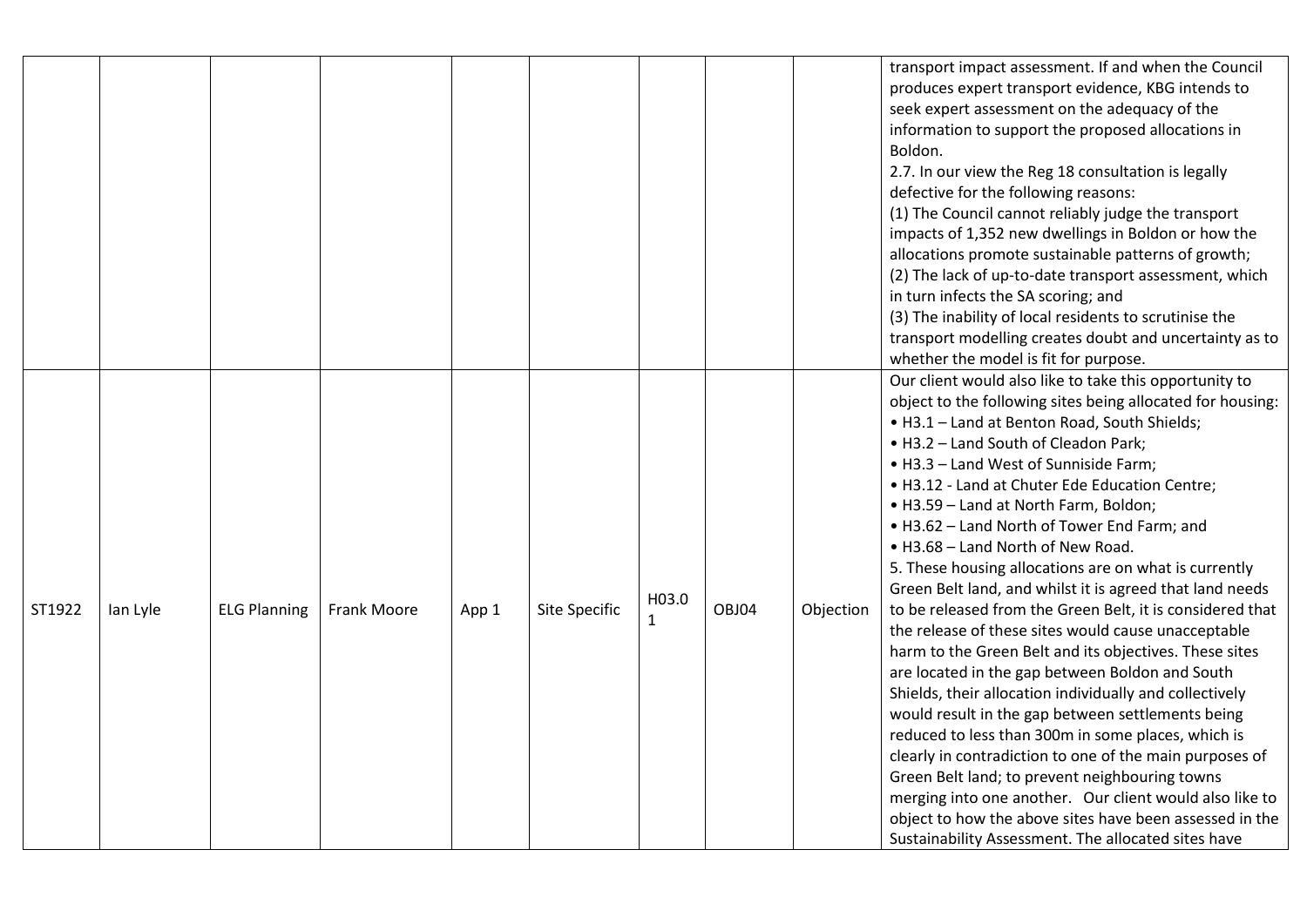|        |          |                     |             |       |                      |                       |       |           | transport impact assessment. If and when the Council<br>produces expert transport evidence, KBG intends to<br>seek expert assessment on the adequacy of the<br>information to support the proposed allocations in<br>Boldon.<br>2.7. In our view the Reg 18 consultation is legally                                                                                                                                                                                                                                                                                                                                                                                                                                                                                                                                                                                                                                                                                                                                                                                                                                                                                                                                                                        |
|--------|----------|---------------------|-------------|-------|----------------------|-----------------------|-------|-----------|------------------------------------------------------------------------------------------------------------------------------------------------------------------------------------------------------------------------------------------------------------------------------------------------------------------------------------------------------------------------------------------------------------------------------------------------------------------------------------------------------------------------------------------------------------------------------------------------------------------------------------------------------------------------------------------------------------------------------------------------------------------------------------------------------------------------------------------------------------------------------------------------------------------------------------------------------------------------------------------------------------------------------------------------------------------------------------------------------------------------------------------------------------------------------------------------------------------------------------------------------------|
|        |          |                     |             |       |                      |                       |       |           | defective for the following reasons:<br>(1) The Council cannot reliably judge the transport<br>impacts of 1,352 new dwellings in Boldon or how the<br>allocations promote sustainable patterns of growth;<br>(2) The lack of up-to-date transport assessment, which<br>in turn infects the SA scoring; and<br>(3) The inability of local residents to scrutinise the<br>transport modelling creates doubt and uncertainty as to<br>whether the model is fit for purpose.                                                                                                                                                                                                                                                                                                                                                                                                                                                                                                                                                                                                                                                                                                                                                                                   |
| ST1922 | lan Lyle | <b>ELG Planning</b> | Frank Moore | App 1 | <b>Site Specific</b> | H03.0<br>$\mathbf{1}$ | OBJ04 | Objection | Our client would also like to take this opportunity to<br>object to the following sites being allocated for housing:<br>. H3.1 - Land at Benton Road, South Shields;<br>. H3.2 - Land South of Cleadon Park;<br>. H3.3 - Land West of Sunniside Farm;<br>. H3.12 - Land at Chuter Ede Education Centre;<br>• H3.59 - Land at North Farm, Boldon;<br>. H3.62 - Land North of Tower End Farm; and<br>. H3.68 - Land North of New Road.<br>5. These housing allocations are on what is currently<br>Green Belt land, and whilst it is agreed that land needs<br>to be released from the Green Belt, it is considered that<br>the release of these sites would cause unacceptable<br>harm to the Green Belt and its objectives. These sites<br>are located in the gap between Boldon and South<br>Shields, their allocation individually and collectively<br>would result in the gap between settlements being<br>reduced to less than 300m in some places, which is<br>clearly in contradiction to one of the main purposes of<br>Green Belt land; to prevent neighbouring towns<br>merging into one another. Our client would also like to<br>object to how the above sites have been assessed in the<br>Sustainability Assessment. The allocated sites have |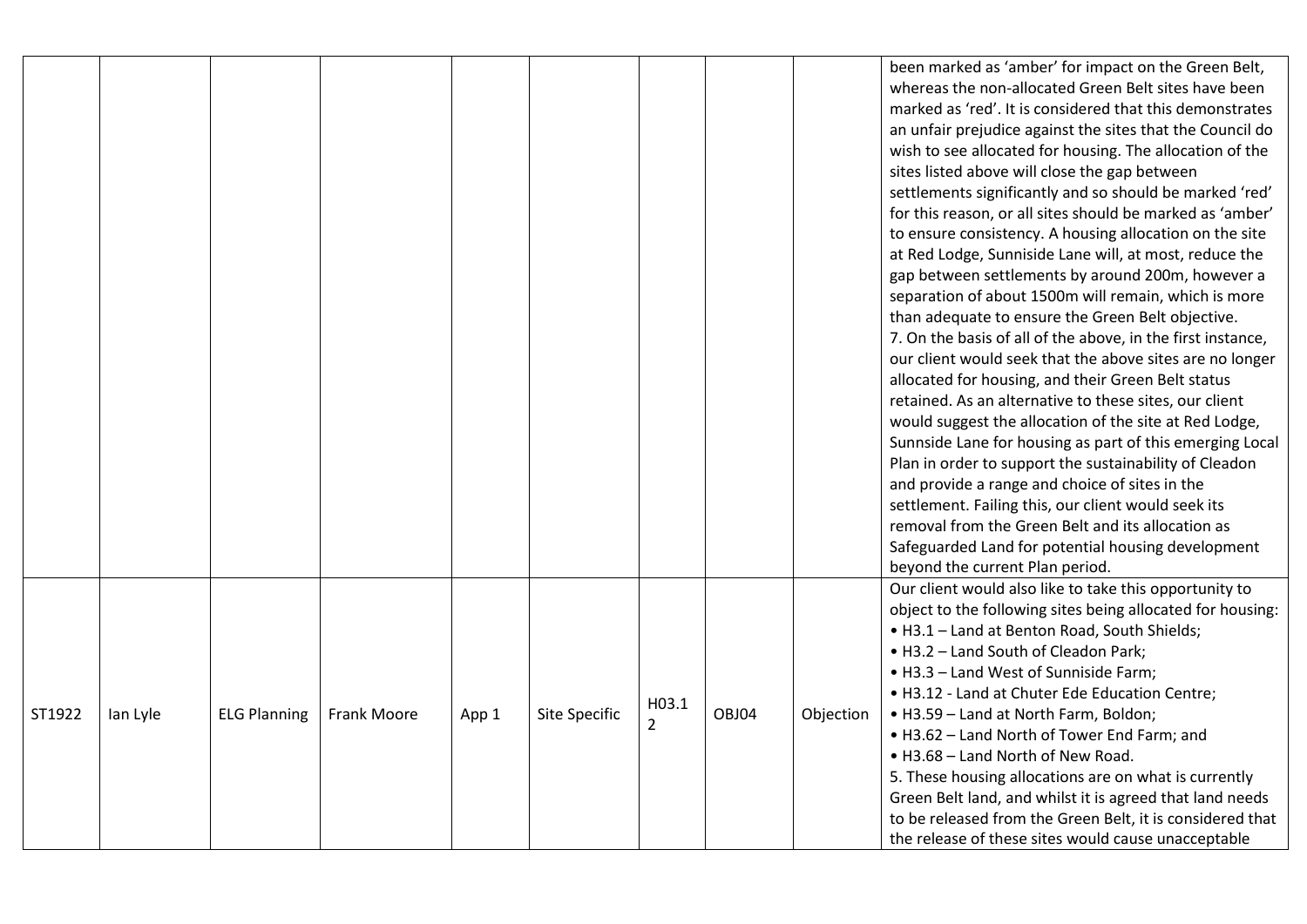|        |          |                     |             |       |               |                |       |           | been marked as 'amber' for impact on the Green Belt,<br>whereas the non-allocated Green Belt sites have been |
|--------|----------|---------------------|-------------|-------|---------------|----------------|-------|-----------|--------------------------------------------------------------------------------------------------------------|
|        |          |                     |             |       |               |                |       |           | marked as 'red'. It is considered that this demonstrates                                                     |
|        |          |                     |             |       |               |                |       |           | an unfair prejudice against the sites that the Council do                                                    |
|        |          |                     |             |       |               |                |       |           | wish to see allocated for housing. The allocation of the                                                     |
|        |          |                     |             |       |               |                |       |           | sites listed above will close the gap between                                                                |
|        |          |                     |             |       |               |                |       |           | settlements significantly and so should be marked 'red'                                                      |
|        |          |                     |             |       |               |                |       |           | for this reason, or all sites should be marked as 'amber'                                                    |
|        |          |                     |             |       |               |                |       |           | to ensure consistency. A housing allocation on the site                                                      |
|        |          |                     |             |       |               |                |       |           | at Red Lodge, Sunniside Lane will, at most, reduce the                                                       |
|        |          |                     |             |       |               |                |       |           | gap between settlements by around 200m, however a                                                            |
|        |          |                     |             |       |               |                |       |           | separation of about 1500m will remain, which is more                                                         |
|        |          |                     |             |       |               |                |       |           | than adequate to ensure the Green Belt objective.                                                            |
|        |          |                     |             |       |               |                |       |           | 7. On the basis of all of the above, in the first instance,                                                  |
|        |          |                     |             |       |               |                |       |           | our client would seek that the above sites are no longer                                                     |
|        |          |                     |             |       |               |                |       |           | allocated for housing, and their Green Belt status                                                           |
|        |          |                     |             |       |               |                |       |           | retained. As an alternative to these sites, our client                                                       |
|        |          |                     |             |       |               |                |       |           | would suggest the allocation of the site at Red Lodge,                                                       |
|        |          |                     |             |       |               |                |       |           | Sunnside Lane for housing as part of this emerging Local                                                     |
|        |          |                     |             |       |               |                |       |           | Plan in order to support the sustainability of Cleadon                                                       |
|        |          |                     |             |       |               |                |       |           | and provide a range and choice of sites in the                                                               |
|        |          |                     |             |       |               |                |       |           | settlement. Failing this, our client would seek its                                                          |
|        |          |                     |             |       |               |                |       |           | removal from the Green Belt and its allocation as                                                            |
|        |          |                     |             |       |               |                |       |           | Safeguarded Land for potential housing development                                                           |
|        |          |                     |             |       |               |                |       |           | beyond the current Plan period.                                                                              |
|        |          |                     |             |       |               |                |       |           | Our client would also like to take this opportunity to                                                       |
|        |          |                     |             |       |               |                |       |           | object to the following sites being allocated for housing:                                                   |
|        |          |                     |             |       |               |                |       |           | . H3.1 - Land at Benton Road, South Shields;                                                                 |
|        |          |                     |             |       |               |                |       |           | • H3.2 - Land South of Cleadon Park;                                                                         |
|        |          |                     |             |       |               |                |       |           | • H3.3 - Land West of Sunniside Farm;                                                                        |
|        |          |                     |             |       |               | H03.1          |       |           | . H3.12 - Land at Chuter Ede Education Centre;                                                               |
| ST1922 | lan Lyle | <b>ELG Planning</b> | Frank Moore | App 1 | Site Specific | $\overline{2}$ | OBJ04 | Objection | • H3.59 - Land at North Farm, Boldon;                                                                        |
|        |          |                     |             |       |               |                |       |           | • H3.62 - Land North of Tower End Farm; and                                                                  |
|        |          |                     |             |       |               |                |       |           | . H3.68 - Land North of New Road.                                                                            |
|        |          |                     |             |       |               |                |       |           | 5. These housing allocations are on what is currently                                                        |
|        |          |                     |             |       |               |                |       |           | Green Belt land, and whilst it is agreed that land needs                                                     |
|        |          |                     |             |       |               |                |       |           | to be released from the Green Belt, it is considered that                                                    |
|        |          |                     |             |       |               |                |       |           | the release of these sites would cause unacceptable                                                          |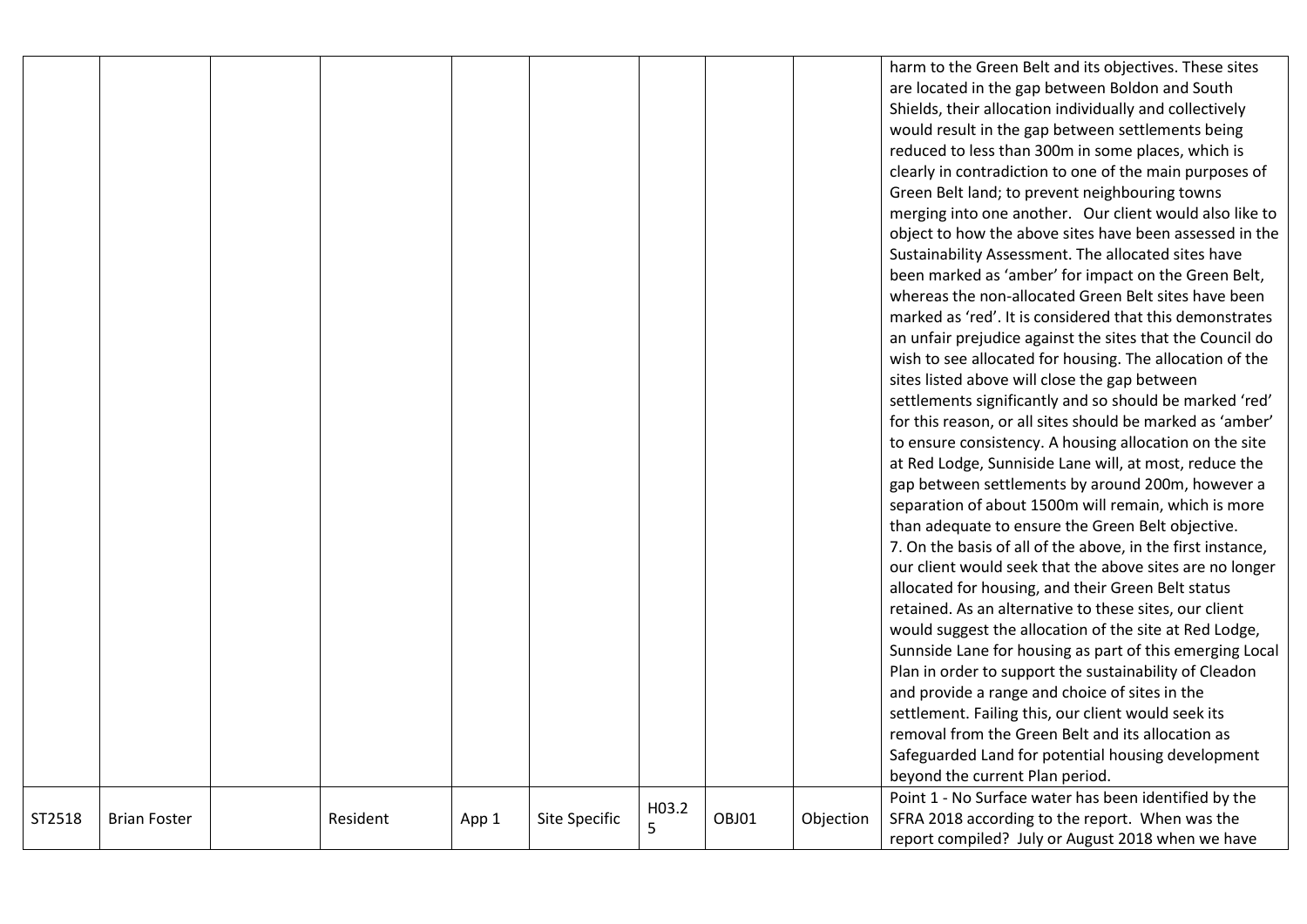|        |                     |          |       |               |       |       |           | harm to the Green Belt and its objectives. These sites      |
|--------|---------------------|----------|-------|---------------|-------|-------|-----------|-------------------------------------------------------------|
|        |                     |          |       |               |       |       |           | are located in the gap between Boldon and South             |
|        |                     |          |       |               |       |       |           | Shields, their allocation individually and collectively     |
|        |                     |          |       |               |       |       |           |                                                             |
|        |                     |          |       |               |       |       |           | would result in the gap between settlements being           |
|        |                     |          |       |               |       |       |           | reduced to less than 300m in some places, which is          |
|        |                     |          |       |               |       |       |           | clearly in contradiction to one of the main purposes of     |
|        |                     |          |       |               |       |       |           | Green Belt land; to prevent neighbouring towns              |
|        |                     |          |       |               |       |       |           | merging into one another. Our client would also like to     |
|        |                     |          |       |               |       |       |           | object to how the above sites have been assessed in the     |
|        |                     |          |       |               |       |       |           | Sustainability Assessment. The allocated sites have         |
|        |                     |          |       |               |       |       |           | been marked as 'amber' for impact on the Green Belt,        |
|        |                     |          |       |               |       |       |           | whereas the non-allocated Green Belt sites have been        |
|        |                     |          |       |               |       |       |           | marked as 'red'. It is considered that this demonstrates    |
|        |                     |          |       |               |       |       |           | an unfair prejudice against the sites that the Council do   |
|        |                     |          |       |               |       |       |           | wish to see allocated for housing. The allocation of the    |
|        |                     |          |       |               |       |       |           | sites listed above will close the gap between               |
|        |                     |          |       |               |       |       |           | settlements significantly and so should be marked 'red'     |
|        |                     |          |       |               |       |       |           | for this reason, or all sites should be marked as 'amber'   |
|        |                     |          |       |               |       |       |           | to ensure consistency. A housing allocation on the site     |
|        |                     |          |       |               |       |       |           | at Red Lodge, Sunniside Lane will, at most, reduce the      |
|        |                     |          |       |               |       |       |           | gap between settlements by around 200m, however a           |
|        |                     |          |       |               |       |       |           | separation of about 1500m will remain, which is more        |
|        |                     |          |       |               |       |       |           | than adequate to ensure the Green Belt objective.           |
|        |                     |          |       |               |       |       |           | 7. On the basis of all of the above, in the first instance, |
|        |                     |          |       |               |       |       |           | our client would seek that the above sites are no longer    |
|        |                     |          |       |               |       |       |           | allocated for housing, and their Green Belt status          |
|        |                     |          |       |               |       |       |           | retained. As an alternative to these sites, our client      |
|        |                     |          |       |               |       |       |           | would suggest the allocation of the site at Red Lodge,      |
|        |                     |          |       |               |       |       |           | Sunnside Lane for housing as part of this emerging Local    |
|        |                     |          |       |               |       |       |           | Plan in order to support the sustainability of Cleadon      |
|        |                     |          |       |               |       |       |           | and provide a range and choice of sites in the              |
|        |                     |          |       |               |       |       |           | settlement. Failing this, our client would seek its         |
|        |                     |          |       |               |       |       |           | removal from the Green Belt and its allocation as           |
|        |                     |          |       |               |       |       |           | Safeguarded Land for potential housing development          |
|        |                     |          |       |               |       |       |           | beyond the current Plan period.                             |
|        |                     |          |       |               |       |       |           | Point 1 - No Surface water has been identified by the       |
| ST2518 | <b>Brian Foster</b> | Resident | App 1 | Site Specific | H03.2 | OBJ01 | Objection | SFRA 2018 according to the report. When was the             |
|        |                     |          |       |               | 5     |       |           | report compiled? July or August 2018 when we have           |
|        |                     |          |       |               |       |       |           |                                                             |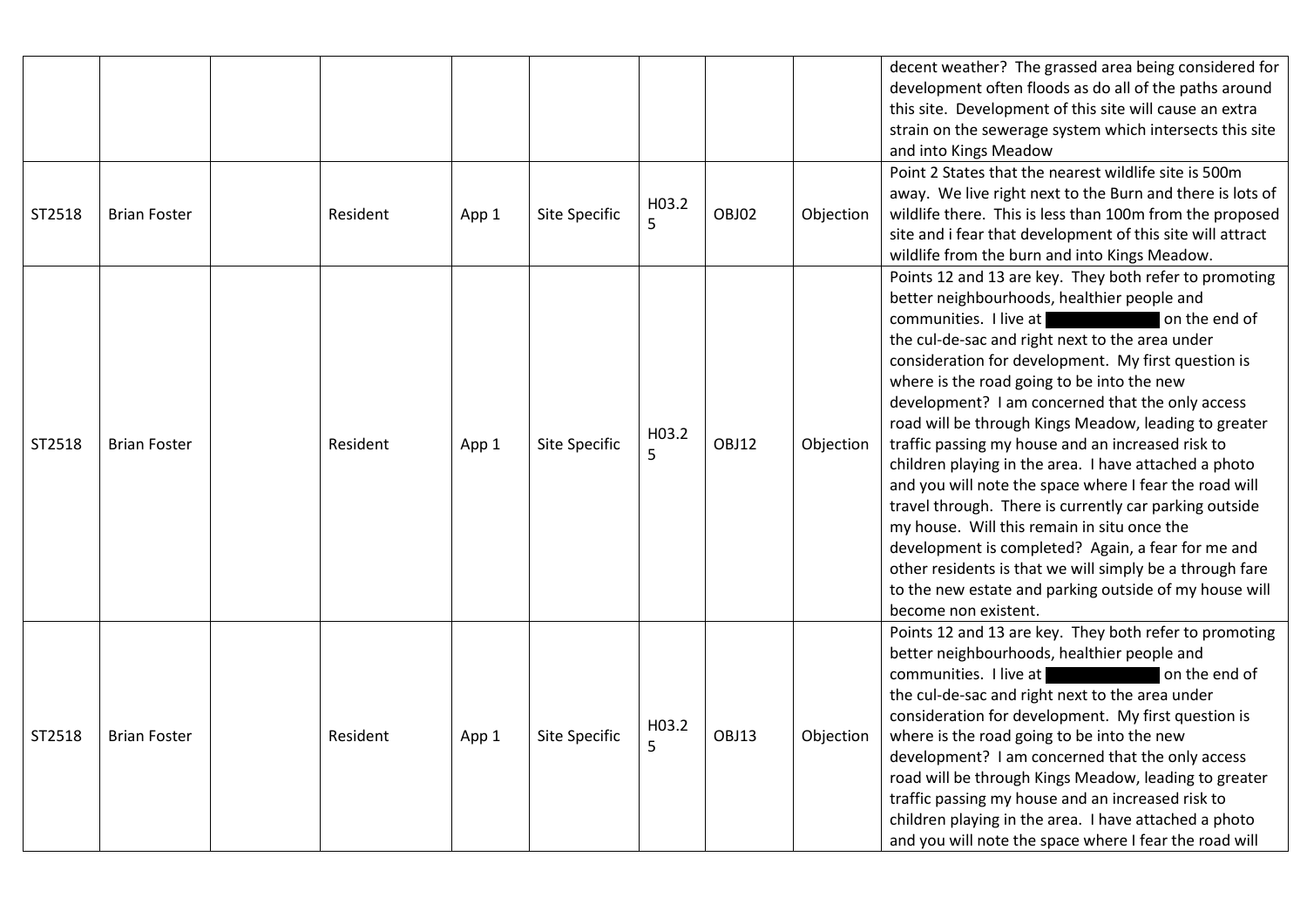|        |                     |          |       |                      |            |       |           | decent weather? The grassed area being considered for<br>development often floods as do all of the paths around<br>this site. Development of this site will cause an extra<br>strain on the sewerage system which intersects this site<br>and into Kings Meadow                                                                                                                                                                                                                                                                                                                                                                                                                                                                                                                                                                                                                                            |
|--------|---------------------|----------|-------|----------------------|------------|-------|-----------|------------------------------------------------------------------------------------------------------------------------------------------------------------------------------------------------------------------------------------------------------------------------------------------------------------------------------------------------------------------------------------------------------------------------------------------------------------------------------------------------------------------------------------------------------------------------------------------------------------------------------------------------------------------------------------------------------------------------------------------------------------------------------------------------------------------------------------------------------------------------------------------------------------|
| ST2518 | <b>Brian Foster</b> | Resident | App 1 | Site Specific        | H03.2<br>5 | OBJ02 | Objection | Point 2 States that the nearest wildlife site is 500m<br>away. We live right next to the Burn and there is lots of<br>wildlife there. This is less than 100m from the proposed<br>site and i fear that development of this site will attract<br>wildlife from the burn and into Kings Meadow.                                                                                                                                                                                                                                                                                                                                                                                                                                                                                                                                                                                                              |
| ST2518 | <b>Brian Foster</b> | Resident | App 1 | Site Specific        | H03.2<br>5 | OBJ12 | Objection | Points 12 and 13 are key. They both refer to promoting<br>better neighbourhoods, healthier people and<br>communities. I live at<br>on the end of<br>the cul-de-sac and right next to the area under<br>consideration for development. My first question is<br>where is the road going to be into the new<br>development? I am concerned that the only access<br>road will be through Kings Meadow, leading to greater<br>traffic passing my house and an increased risk to<br>children playing in the area. I have attached a photo<br>and you will note the space where I fear the road will<br>travel through. There is currently car parking outside<br>my house. Will this remain in situ once the<br>development is completed? Again, a fear for me and<br>other residents is that we will simply be a through fare<br>to the new estate and parking outside of my house will<br>become non existent. |
| ST2518 | <b>Brian Foster</b> | Resident | App 1 | <b>Site Specific</b> | H03.2<br>5 | OBJ13 | Objection | Points 12 and 13 are key. They both refer to promoting<br>better neighbourhoods, healthier people and<br>communities. I live at<br>on the end of<br>the cul-de-sac and right next to the area under<br>consideration for development. My first question is<br>where is the road going to be into the new<br>development? I am concerned that the only access<br>road will be through Kings Meadow, leading to greater<br>traffic passing my house and an increased risk to<br>children playing in the area. I have attached a photo<br>and you will note the space where I fear the road will                                                                                                                                                                                                                                                                                                              |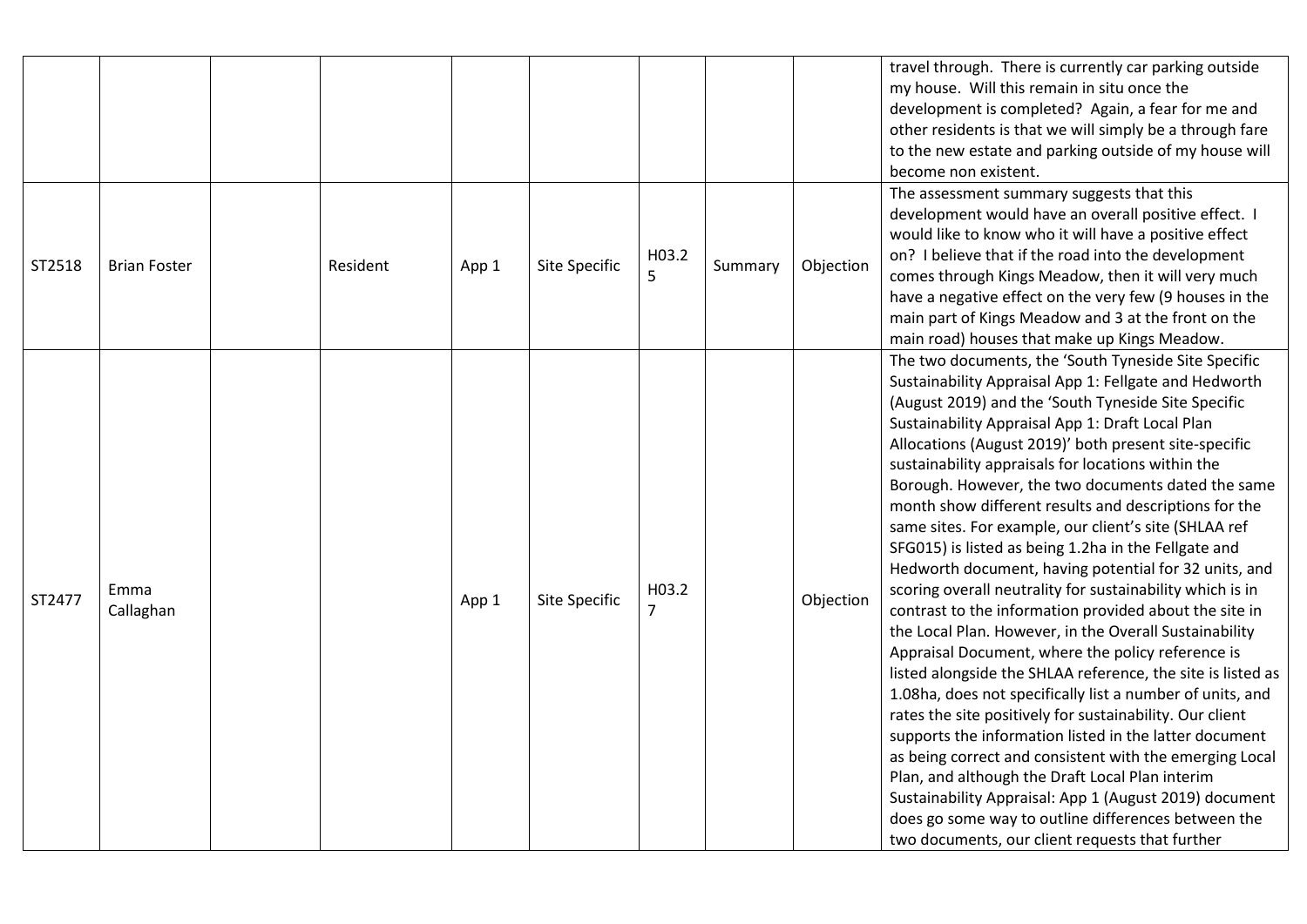|        |                     |          |       |               |                         |         |           | travel through. There is currently car parking outside<br>my house. Will this remain in situ once the<br>development is completed? Again, a fear for me and<br>other residents is that we will simply be a through fare<br>to the new estate and parking outside of my house will<br>become non existent.                                                                                                                                                                                                                                                                                                                                                                                                                                                                                                                                                                                                                                                                                                                                                                                                                                                                                                                                                                                                                                                                                                  |
|--------|---------------------|----------|-------|---------------|-------------------------|---------|-----------|------------------------------------------------------------------------------------------------------------------------------------------------------------------------------------------------------------------------------------------------------------------------------------------------------------------------------------------------------------------------------------------------------------------------------------------------------------------------------------------------------------------------------------------------------------------------------------------------------------------------------------------------------------------------------------------------------------------------------------------------------------------------------------------------------------------------------------------------------------------------------------------------------------------------------------------------------------------------------------------------------------------------------------------------------------------------------------------------------------------------------------------------------------------------------------------------------------------------------------------------------------------------------------------------------------------------------------------------------------------------------------------------------------|
| ST2518 | <b>Brian Foster</b> | Resident | App 1 | Site Specific | H03.2<br>5              | Summary | Objection | The assessment summary suggests that this<br>development would have an overall positive effect. I<br>would like to know who it will have a positive effect<br>on? I believe that if the road into the development<br>comes through Kings Meadow, then it will very much<br>have a negative effect on the very few (9 houses in the<br>main part of Kings Meadow and 3 at the front on the<br>main road) houses that make up Kings Meadow.                                                                                                                                                                                                                                                                                                                                                                                                                                                                                                                                                                                                                                                                                                                                                                                                                                                                                                                                                                  |
| ST2477 | Emma<br>Callaghan   |          | App 1 | Site Specific | H03.2<br>$\overline{7}$ |         | Objection | The two documents, the 'South Tyneside Site Specific<br>Sustainability Appraisal App 1: Fellgate and Hedworth<br>(August 2019) and the 'South Tyneside Site Specific<br>Sustainability Appraisal App 1: Draft Local Plan<br>Allocations (August 2019)' both present site-specific<br>sustainability appraisals for locations within the<br>Borough. However, the two documents dated the same<br>month show different results and descriptions for the<br>same sites. For example, our client's site (SHLAA ref<br>SFG015) is listed as being 1.2ha in the Fellgate and<br>Hedworth document, having potential for 32 units, and<br>scoring overall neutrality for sustainability which is in<br>contrast to the information provided about the site in<br>the Local Plan. However, in the Overall Sustainability<br>Appraisal Document, where the policy reference is<br>listed alongside the SHLAA reference, the site is listed as<br>1.08ha, does not specifically list a number of units, and<br>rates the site positively for sustainability. Our client<br>supports the information listed in the latter document<br>as being correct and consistent with the emerging Local<br>Plan, and although the Draft Local Plan interim<br>Sustainability Appraisal: App 1 (August 2019) document<br>does go some way to outline differences between the<br>two documents, our client requests that further |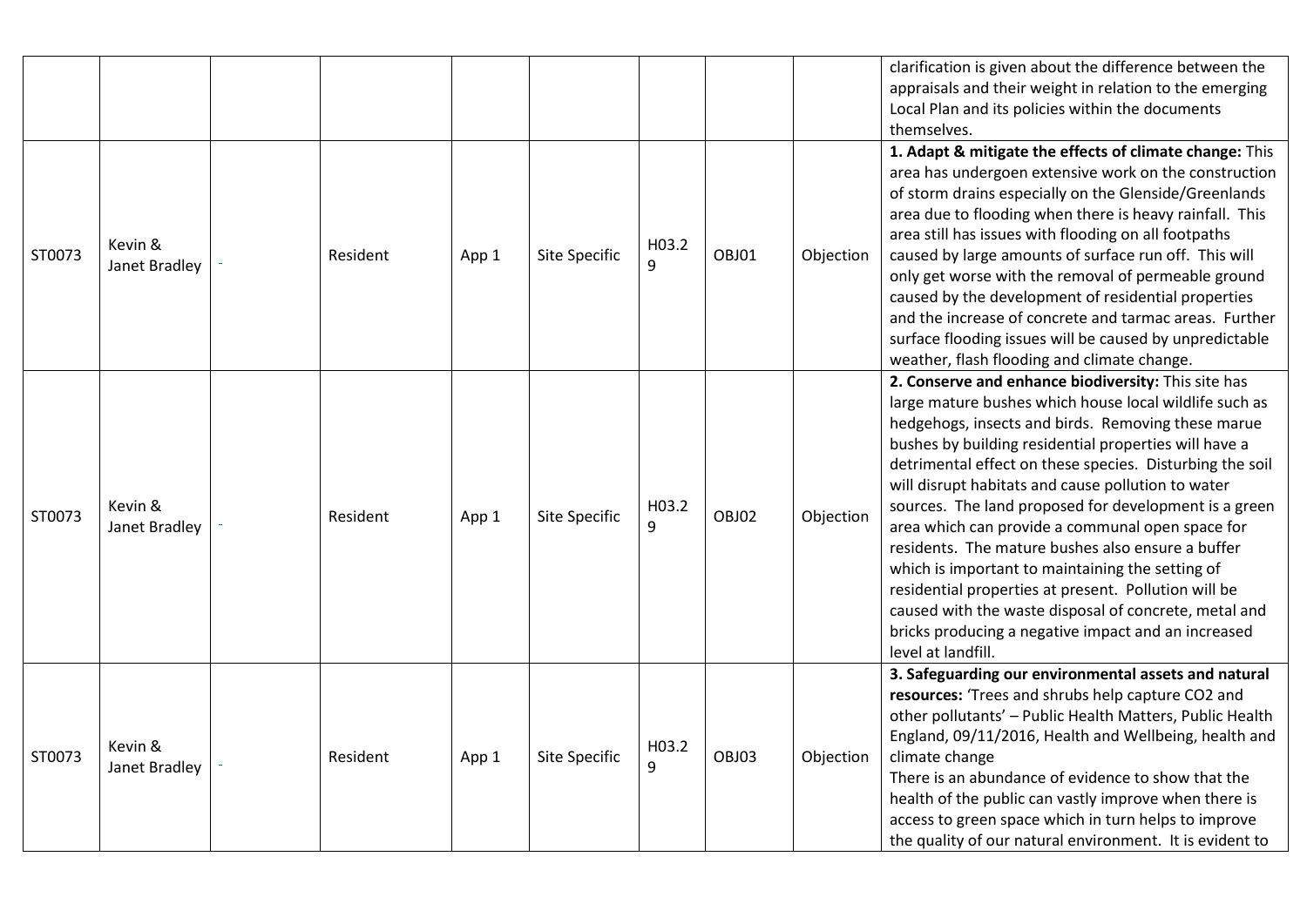|        |                          |          |       |               |            |       |           | clarification is given about the difference between the<br>appraisals and their weight in relation to the emerging<br>Local Plan and its policies within the documents<br>themselves.                                                                                                                                                                                                                                                                                                                                                                                                                                                                                                                                                                              |
|--------|--------------------------|----------|-------|---------------|------------|-------|-----------|--------------------------------------------------------------------------------------------------------------------------------------------------------------------------------------------------------------------------------------------------------------------------------------------------------------------------------------------------------------------------------------------------------------------------------------------------------------------------------------------------------------------------------------------------------------------------------------------------------------------------------------------------------------------------------------------------------------------------------------------------------------------|
| ST0073 | Kevin &<br>Janet Bradley | Resident | App 1 | Site Specific | H03.2<br>9 | OBJ01 | Objection | 1. Adapt & mitigate the effects of climate change: This<br>area has undergoen extensive work on the construction<br>of storm drains especially on the Glenside/Greenlands<br>area due to flooding when there is heavy rainfall. This<br>area still has issues with flooding on all footpaths<br>caused by large amounts of surface run off. This will<br>only get worse with the removal of permeable ground<br>caused by the development of residential properties<br>and the increase of concrete and tarmac areas. Further<br>surface flooding issues will be caused by unpredictable<br>weather, flash flooding and climate change.                                                                                                                            |
| ST0073 | Kevin &<br>Janet Bradley | Resident | App 1 | Site Specific | H03.2<br>9 | OBJ02 | Objection | 2. Conserve and enhance biodiversity: This site has<br>large mature bushes which house local wildlife such as<br>hedgehogs, insects and birds. Removing these marue<br>bushes by building residential properties will have a<br>detrimental effect on these species. Disturbing the soil<br>will disrupt habitats and cause pollution to water<br>sources. The land proposed for development is a green<br>area which can provide a communal open space for<br>residents. The mature bushes also ensure a buffer<br>which is important to maintaining the setting of<br>residential properties at present. Pollution will be<br>caused with the waste disposal of concrete, metal and<br>bricks producing a negative impact and an increased<br>level at landfill. |
| ST0073 | Kevin &<br>Janet Bradley | Resident | App 1 | Site Specific | H03.2<br>9 | OBJ03 | Objection | 3. Safeguarding our environmental assets and natural<br>resources: 'Trees and shrubs help capture CO2 and<br>other pollutants' - Public Health Matters, Public Health<br>England, 09/11/2016, Health and Wellbeing, health and<br>climate change<br>There is an abundance of evidence to show that the<br>health of the public can vastly improve when there is<br>access to green space which in turn helps to improve<br>the quality of our natural environment. It is evident to                                                                                                                                                                                                                                                                                |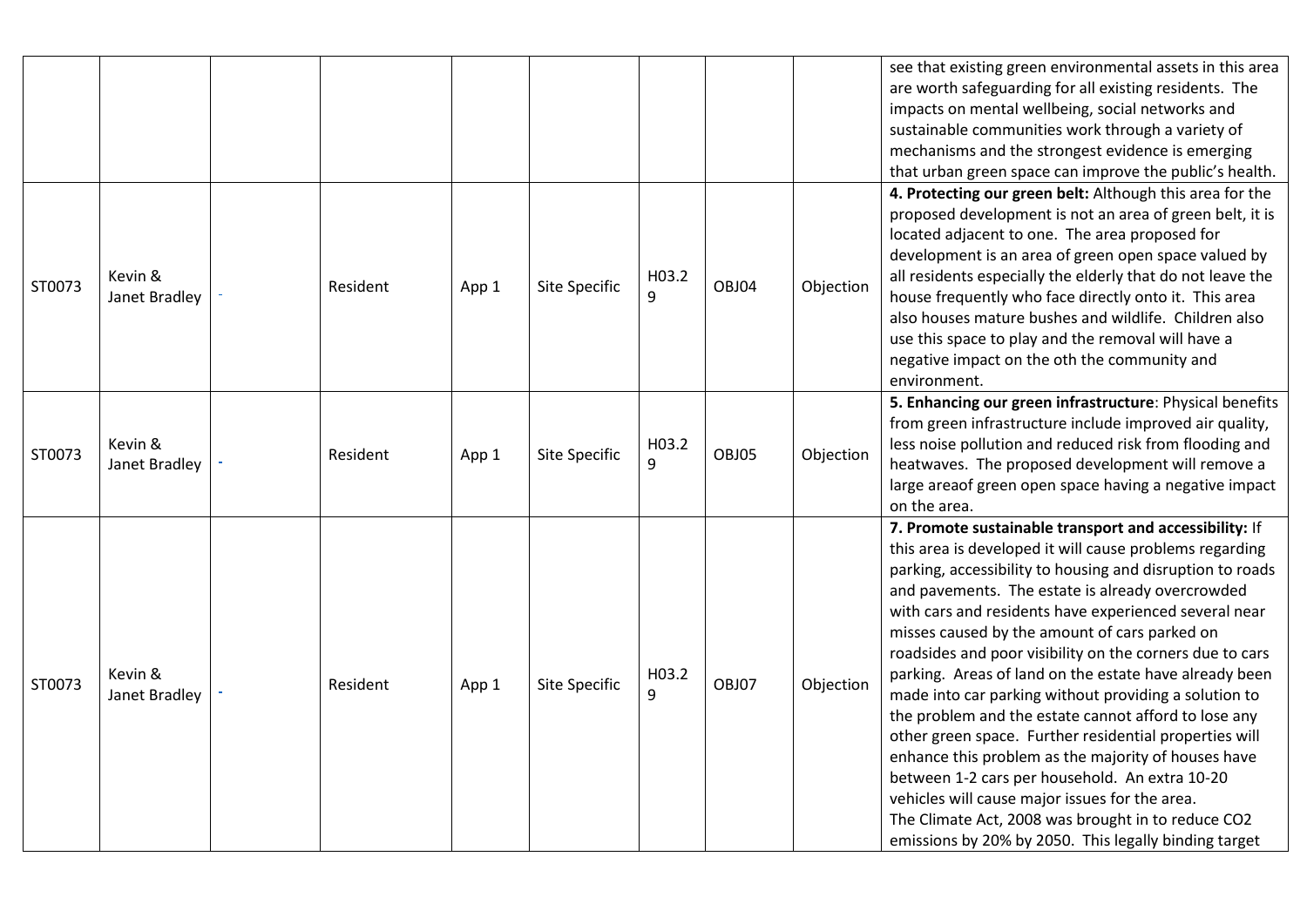|        |                          |          |       |                      |            |       |           | see that existing green environmental assets in this area<br>are worth safeguarding for all existing residents. The<br>impacts on mental wellbeing, social networks and<br>sustainable communities work through a variety of<br>mechanisms and the strongest evidence is emerging<br>that urban green space can improve the public's health.                                                                                                                                                                                                                                                                                                                                                                                                                                                                                                                                                                            |
|--------|--------------------------|----------|-------|----------------------|------------|-------|-----------|-------------------------------------------------------------------------------------------------------------------------------------------------------------------------------------------------------------------------------------------------------------------------------------------------------------------------------------------------------------------------------------------------------------------------------------------------------------------------------------------------------------------------------------------------------------------------------------------------------------------------------------------------------------------------------------------------------------------------------------------------------------------------------------------------------------------------------------------------------------------------------------------------------------------------|
| ST0073 | Kevin &<br>Janet Bradley | Resident | App 1 | Site Specific        | H03.2<br>9 | OBJ04 | Objection | 4. Protecting our green belt: Although this area for the<br>proposed development is not an area of green belt, it is<br>located adjacent to one. The area proposed for<br>development is an area of green open space valued by<br>all residents especially the elderly that do not leave the<br>house frequently who face directly onto it. This area<br>also houses mature bushes and wildlife. Children also<br>use this space to play and the removal will have a<br>negative impact on the oth the community and<br>environment.                                                                                                                                                                                                                                                                                                                                                                                    |
| ST0073 | Kevin &<br>Janet Bradley | Resident | App 1 | Site Specific        | H03.2<br>9 | OBJ05 | Objection | 5. Enhancing our green infrastructure: Physical benefits<br>from green infrastructure include improved air quality,<br>less noise pollution and reduced risk from flooding and<br>heatwaves. The proposed development will remove a<br>large areaof green open space having a negative impact<br>on the area.                                                                                                                                                                                                                                                                                                                                                                                                                                                                                                                                                                                                           |
| ST0073 | Kevin &<br>Janet Bradley | Resident | App 1 | <b>Site Specific</b> | H03.2<br>9 | OBJ07 | Objection | 7. Promote sustainable transport and accessibility: If<br>this area is developed it will cause problems regarding<br>parking, accessibility to housing and disruption to roads<br>and pavements. The estate is already overcrowded<br>with cars and residents have experienced several near<br>misses caused by the amount of cars parked on<br>roadsides and poor visibility on the corners due to cars<br>parking. Areas of land on the estate have already been<br>made into car parking without providing a solution to<br>the problem and the estate cannot afford to lose any<br>other green space. Further residential properties will<br>enhance this problem as the majority of houses have<br>between 1-2 cars per household. An extra 10-20<br>vehicles will cause major issues for the area.<br>The Climate Act, 2008 was brought in to reduce CO2<br>emissions by 20% by 2050. This legally binding target |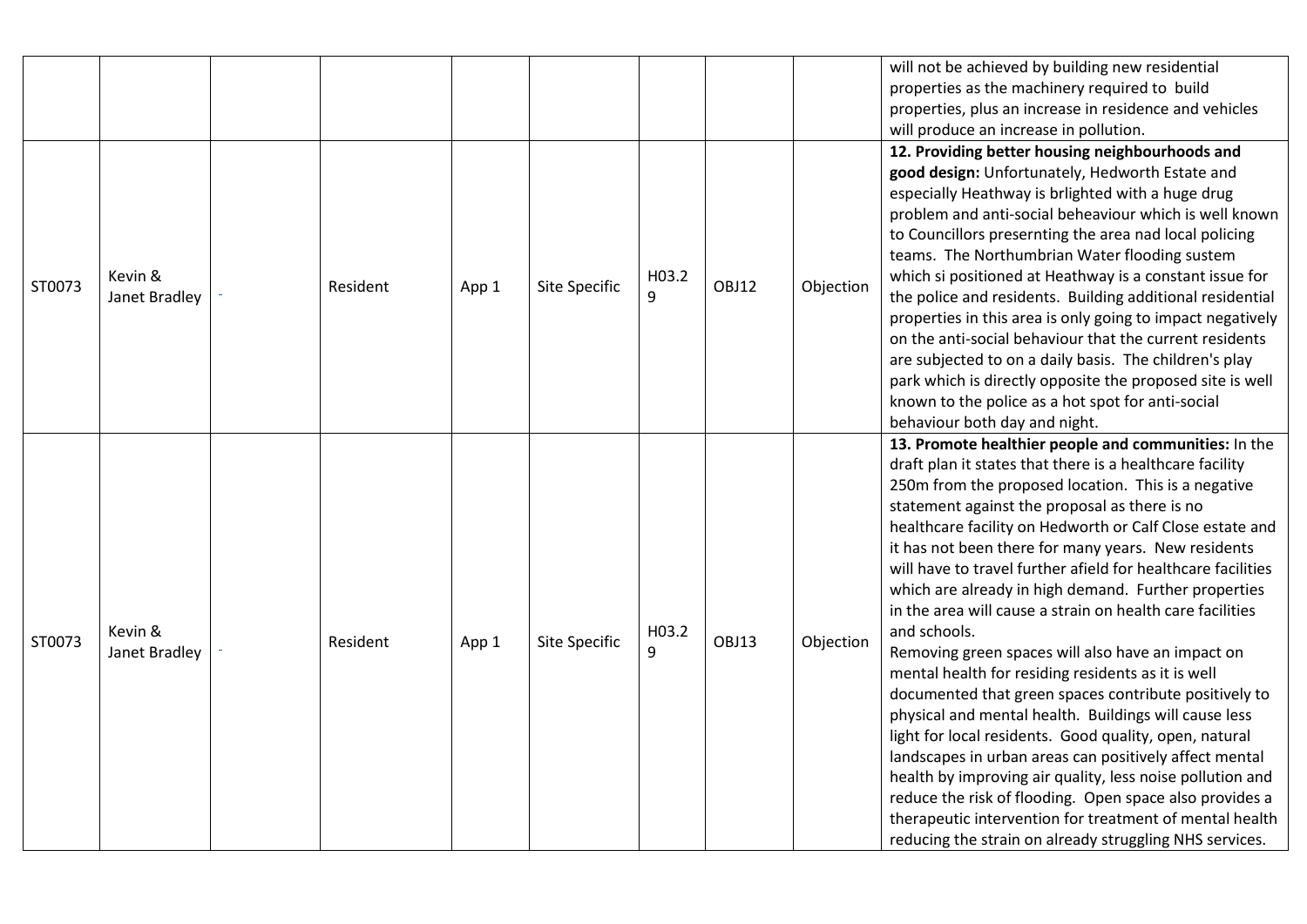|        |                          |          |       |               |            |       |           | will not be achieved by building new residential<br>properties as the machinery required to build<br>properties, plus an increase in residence and vehicles<br>will produce an increase in pollution.                                                                                                                                                                                                                                                                                                                                                                                                                                                                                                                                                                                                                                                                                                                                                                                                                                                                                                                                           |
|--------|--------------------------|----------|-------|---------------|------------|-------|-----------|-------------------------------------------------------------------------------------------------------------------------------------------------------------------------------------------------------------------------------------------------------------------------------------------------------------------------------------------------------------------------------------------------------------------------------------------------------------------------------------------------------------------------------------------------------------------------------------------------------------------------------------------------------------------------------------------------------------------------------------------------------------------------------------------------------------------------------------------------------------------------------------------------------------------------------------------------------------------------------------------------------------------------------------------------------------------------------------------------------------------------------------------------|
| ST0073 | Kevin &<br>Janet Bradley | Resident | App 1 | Site Specific | H03.2<br>9 | OBJ12 | Objection | 12. Providing better housing neighbourhoods and<br>good design: Unfortunately, Hedworth Estate and<br>especially Heathway is brlighted with a huge drug<br>problem and anti-social beheaviour which is well known<br>to Councillors presernting the area nad local policing<br>teams. The Northumbrian Water flooding sustem<br>which si positioned at Heathway is a constant issue for<br>the police and residents. Building additional residential<br>properties in this area is only going to impact negatively<br>on the anti-social behaviour that the current residents<br>are subjected to on a daily basis. The children's play<br>park which is directly opposite the proposed site is well<br>known to the police as a hot spot for anti-social<br>behaviour both day and night.                                                                                                                                                                                                                                                                                                                                                      |
| ST0073 | Kevin &<br>Janet Bradley | Resident | App 1 | Site Specific | H03.2<br>9 | OBJ13 | Objection | 13. Promote healthier people and communities: In the<br>draft plan it states that there is a healthcare facility<br>250m from the proposed location. This is a negative<br>statement against the proposal as there is no<br>healthcare facility on Hedworth or Calf Close estate and<br>it has not been there for many years. New residents<br>will have to travel further afield for healthcare facilities<br>which are already in high demand. Further properties<br>in the area will cause a strain on health care facilities<br>and schools.<br>Removing green spaces will also have an impact on<br>mental health for residing residents as it is well<br>documented that green spaces contribute positively to<br>physical and mental health. Buildings will cause less<br>light for local residents. Good quality, open, natural<br>landscapes in urban areas can positively affect mental<br>health by improving air quality, less noise pollution and<br>reduce the risk of flooding. Open space also provides a<br>therapeutic intervention for treatment of mental health<br>reducing the strain on already struggling NHS services. |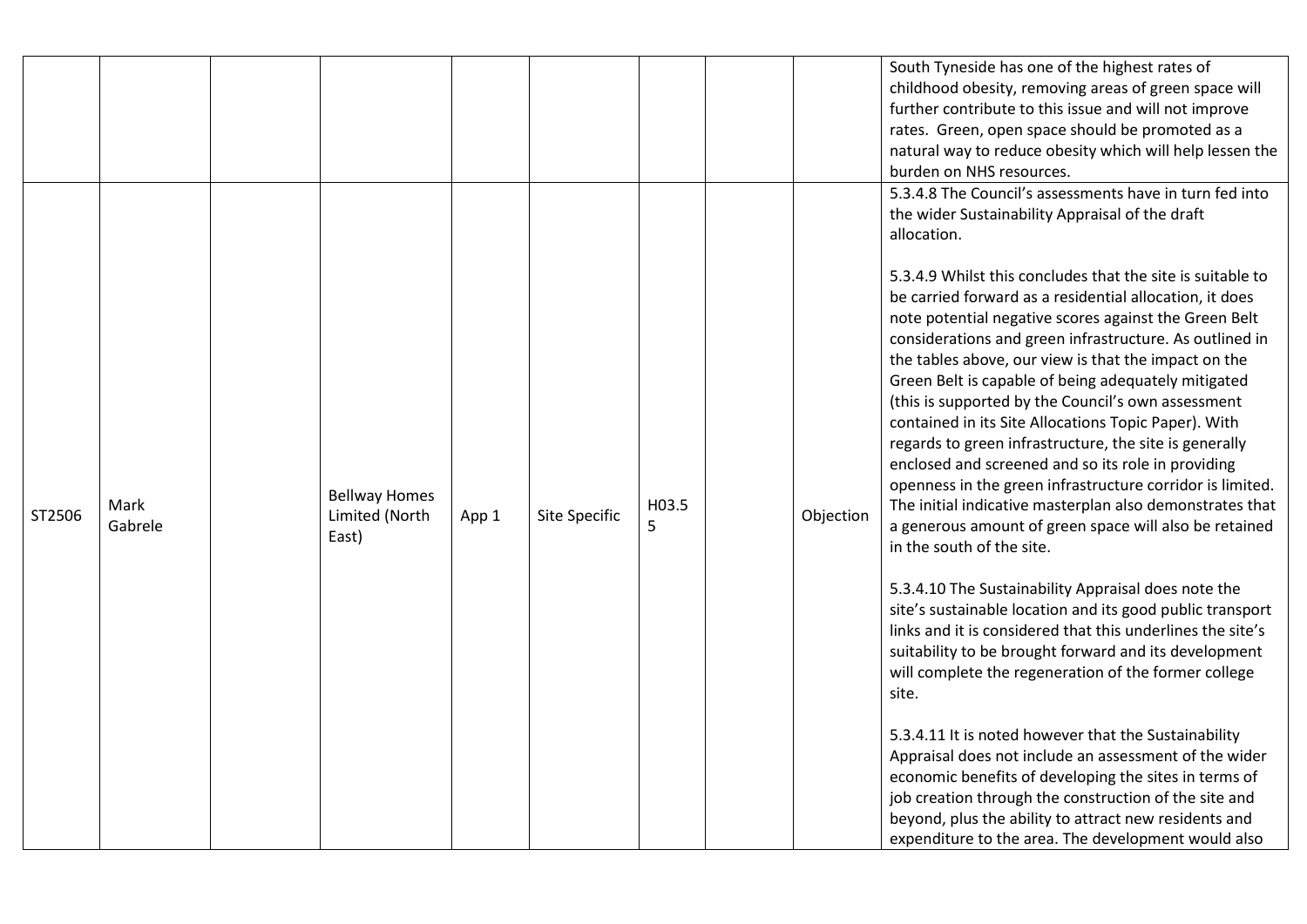|        |                 |                                                 |       |               |            |           | South Tyneside has one of the highest rates of<br>childhood obesity, removing areas of green space will<br>further contribute to this issue and will not improve<br>rates. Green, open space should be promoted as a<br>natural way to reduce obesity which will help lessen the<br>burden on NHS resources.                                                                                                                                                                                                                                                                                                                                                                                                                                                                                                                                                                                                                                                                                                                                                                                                                                                                                                                                                                                                                                                                                                                                                                                                                                                                                       |
|--------|-----------------|-------------------------------------------------|-------|---------------|------------|-----------|----------------------------------------------------------------------------------------------------------------------------------------------------------------------------------------------------------------------------------------------------------------------------------------------------------------------------------------------------------------------------------------------------------------------------------------------------------------------------------------------------------------------------------------------------------------------------------------------------------------------------------------------------------------------------------------------------------------------------------------------------------------------------------------------------------------------------------------------------------------------------------------------------------------------------------------------------------------------------------------------------------------------------------------------------------------------------------------------------------------------------------------------------------------------------------------------------------------------------------------------------------------------------------------------------------------------------------------------------------------------------------------------------------------------------------------------------------------------------------------------------------------------------------------------------------------------------------------------------|
| ST2506 | Mark<br>Gabrele | <b>Bellway Homes</b><br>Limited (North<br>East) | App 1 | Site Specific | H03.5<br>5 | Objection | 5.3.4.8 The Council's assessments have in turn fed into<br>the wider Sustainability Appraisal of the draft<br>allocation.<br>5.3.4.9 Whilst this concludes that the site is suitable to<br>be carried forward as a residential allocation, it does<br>note potential negative scores against the Green Belt<br>considerations and green infrastructure. As outlined in<br>the tables above, our view is that the impact on the<br>Green Belt is capable of being adequately mitigated<br>(this is supported by the Council's own assessment<br>contained in its Site Allocations Topic Paper). With<br>regards to green infrastructure, the site is generally<br>enclosed and screened and so its role in providing<br>openness in the green infrastructure corridor is limited.<br>The initial indicative masterplan also demonstrates that<br>a generous amount of green space will also be retained<br>in the south of the site.<br>5.3.4.10 The Sustainability Appraisal does note the<br>site's sustainable location and its good public transport<br>links and it is considered that this underlines the site's<br>suitability to be brought forward and its development<br>will complete the regeneration of the former college<br>site.<br>5.3.4.11 It is noted however that the Sustainability<br>Appraisal does not include an assessment of the wider<br>economic benefits of developing the sites in terms of<br>job creation through the construction of the site and<br>beyond, plus the ability to attract new residents and<br>expenditure to the area. The development would also |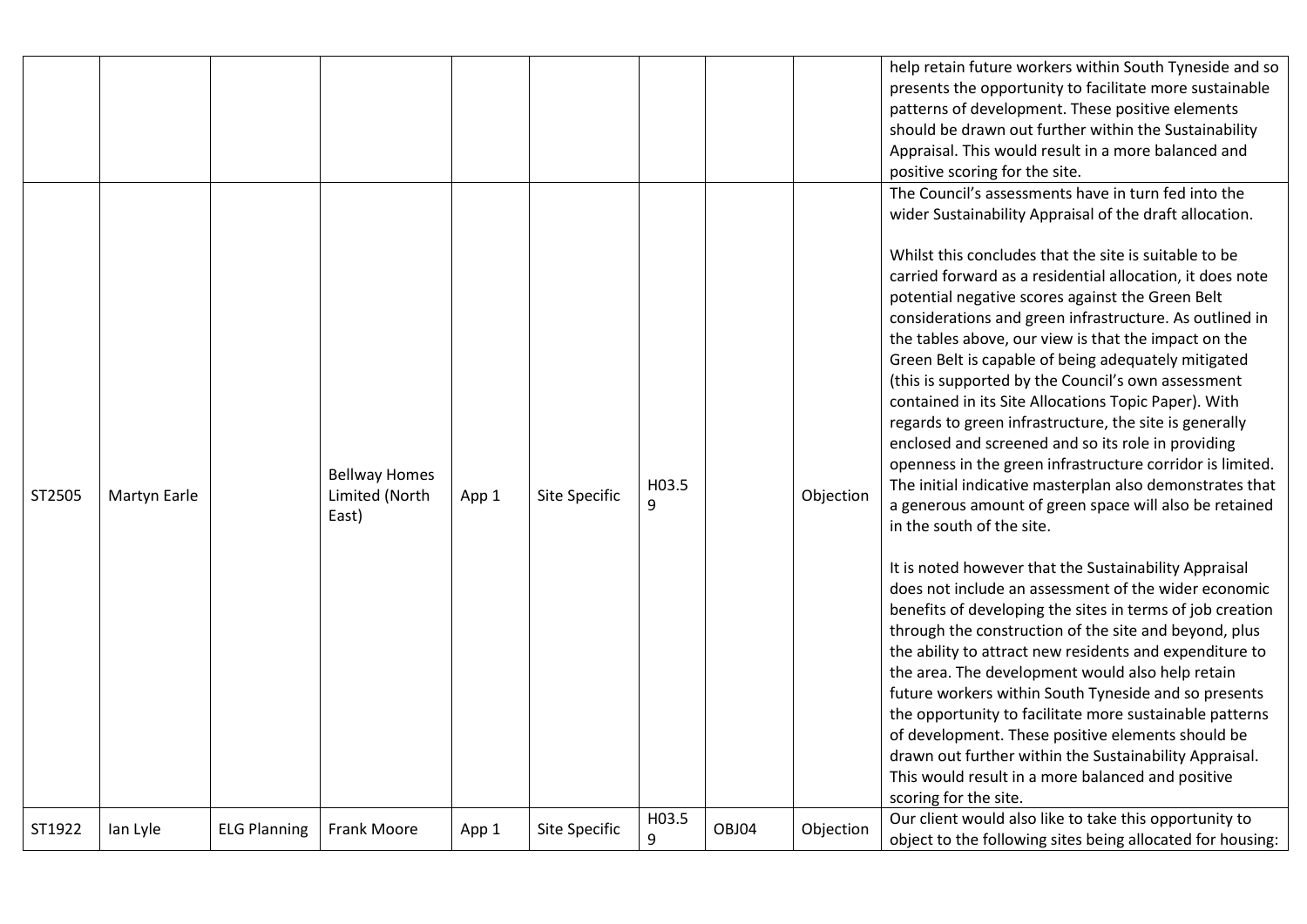|        |                     |                     |                                                 |       |               |            |       |           | help retain future workers within South Tyneside and so<br>presents the opportunity to facilitate more sustainable<br>patterns of development. These positive elements<br>should be drawn out further within the Sustainability<br>Appraisal. This would result in a more balanced and<br>positive scoring for the site.                                                                                                                                                                                                                                                                                                                                                                                                                                                                                                                                                                                                                                                                                                                                                                                                                                                                                                                                                                                                                                                                                                                                                                                                                                                               |
|--------|---------------------|---------------------|-------------------------------------------------|-------|---------------|------------|-------|-----------|----------------------------------------------------------------------------------------------------------------------------------------------------------------------------------------------------------------------------------------------------------------------------------------------------------------------------------------------------------------------------------------------------------------------------------------------------------------------------------------------------------------------------------------------------------------------------------------------------------------------------------------------------------------------------------------------------------------------------------------------------------------------------------------------------------------------------------------------------------------------------------------------------------------------------------------------------------------------------------------------------------------------------------------------------------------------------------------------------------------------------------------------------------------------------------------------------------------------------------------------------------------------------------------------------------------------------------------------------------------------------------------------------------------------------------------------------------------------------------------------------------------------------------------------------------------------------------------|
| ST2505 | <b>Martyn Earle</b> |                     | <b>Bellway Homes</b><br>Limited (North<br>East) | App 1 | Site Specific | H03.5<br>9 |       | Objection | The Council's assessments have in turn fed into the<br>wider Sustainability Appraisal of the draft allocation.<br>Whilst this concludes that the site is suitable to be<br>carried forward as a residential allocation, it does note<br>potential negative scores against the Green Belt<br>considerations and green infrastructure. As outlined in<br>the tables above, our view is that the impact on the<br>Green Belt is capable of being adequately mitigated<br>(this is supported by the Council's own assessment<br>contained in its Site Allocations Topic Paper). With<br>regards to green infrastructure, the site is generally<br>enclosed and screened and so its role in providing<br>openness in the green infrastructure corridor is limited.<br>The initial indicative masterplan also demonstrates that<br>a generous amount of green space will also be retained<br>in the south of the site.<br>It is noted however that the Sustainability Appraisal<br>does not include an assessment of the wider economic<br>benefits of developing the sites in terms of job creation<br>through the construction of the site and beyond, plus<br>the ability to attract new residents and expenditure to<br>the area. The development would also help retain<br>future workers within South Tyneside and so presents<br>the opportunity to facilitate more sustainable patterns<br>of development. These positive elements should be<br>drawn out further within the Sustainability Appraisal.<br>This would result in a more balanced and positive<br>scoring for the site. |
| ST1922 | lan Lyle            | <b>ELG Planning</b> | <b>Frank Moore</b>                              | App 1 | Site Specific | H03.5<br>9 | OBJ04 | Objection | Our client would also like to take this opportunity to<br>object to the following sites being allocated for housing:                                                                                                                                                                                                                                                                                                                                                                                                                                                                                                                                                                                                                                                                                                                                                                                                                                                                                                                                                                                                                                                                                                                                                                                                                                                                                                                                                                                                                                                                   |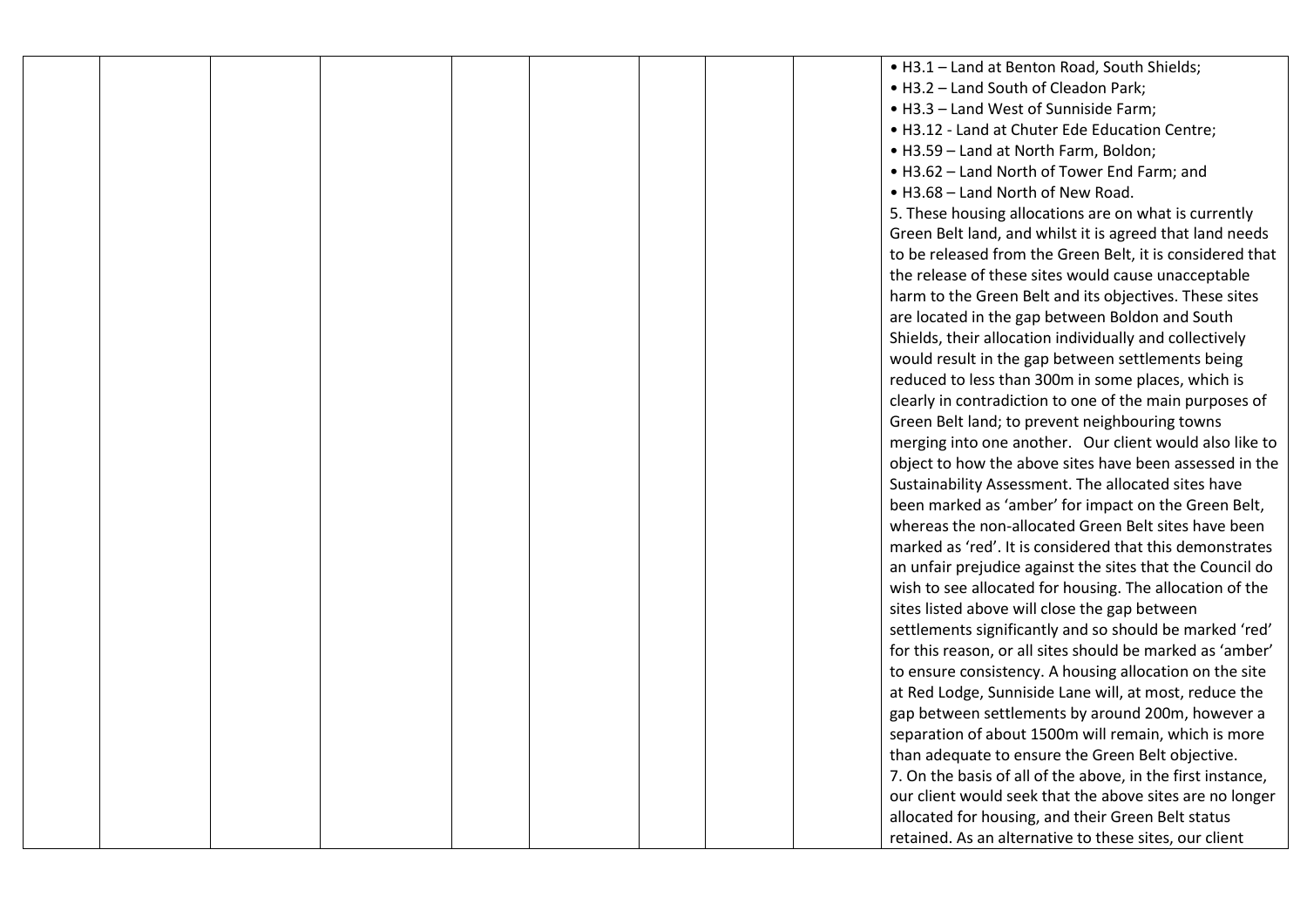|  |  |  |  | . H3.1 - Land at Benton Road, South Shields;                |
|--|--|--|--|-------------------------------------------------------------|
|  |  |  |  | . H3.2 - Land South of Cleadon Park;                        |
|  |  |  |  | • H3.3 - Land West of Sunniside Farm;                       |
|  |  |  |  | . H3.12 - Land at Chuter Ede Education Centre;              |
|  |  |  |  | • H3.59 - Land at North Farm, Boldon;                       |
|  |  |  |  | • H3.62 - Land North of Tower End Farm; and                 |
|  |  |  |  | . H3.68 - Land North of New Road.                           |
|  |  |  |  | 5. These housing allocations are on what is currently       |
|  |  |  |  | Green Belt land, and whilst it is agreed that land needs    |
|  |  |  |  | to be released from the Green Belt, it is considered that   |
|  |  |  |  | the release of these sites would cause unacceptable         |
|  |  |  |  | harm to the Green Belt and its objectives. These sites      |
|  |  |  |  | are located in the gap between Boldon and South             |
|  |  |  |  | Shields, their allocation individually and collectively     |
|  |  |  |  | would result in the gap between settlements being           |
|  |  |  |  | reduced to less than 300m in some places, which is          |
|  |  |  |  | clearly in contradiction to one of the main purposes of     |
|  |  |  |  | Green Belt land; to prevent neighbouring towns              |
|  |  |  |  | merging into one another. Our client would also like to     |
|  |  |  |  | object to how the above sites have been assessed in the     |
|  |  |  |  | Sustainability Assessment. The allocated sites have         |
|  |  |  |  | been marked as 'amber' for impact on the Green Belt,        |
|  |  |  |  | whereas the non-allocated Green Belt sites have been        |
|  |  |  |  | marked as 'red'. It is considered that this demonstrates    |
|  |  |  |  | an unfair prejudice against the sites that the Council do   |
|  |  |  |  | wish to see allocated for housing. The allocation of the    |
|  |  |  |  | sites listed above will close the gap between               |
|  |  |  |  | settlements significantly and so should be marked 'red'     |
|  |  |  |  | for this reason, or all sites should be marked as 'amber'   |
|  |  |  |  | to ensure consistency. A housing allocation on the site     |
|  |  |  |  | at Red Lodge, Sunniside Lane will, at most, reduce the      |
|  |  |  |  | gap between settlements by around 200m, however a           |
|  |  |  |  | separation of about 1500m will remain, which is more        |
|  |  |  |  | than adequate to ensure the Green Belt objective.           |
|  |  |  |  | 7. On the basis of all of the above, in the first instance, |
|  |  |  |  | our client would seek that the above sites are no longer    |
|  |  |  |  | allocated for housing, and their Green Belt status          |
|  |  |  |  | retained. As an alternative to these sites, our client      |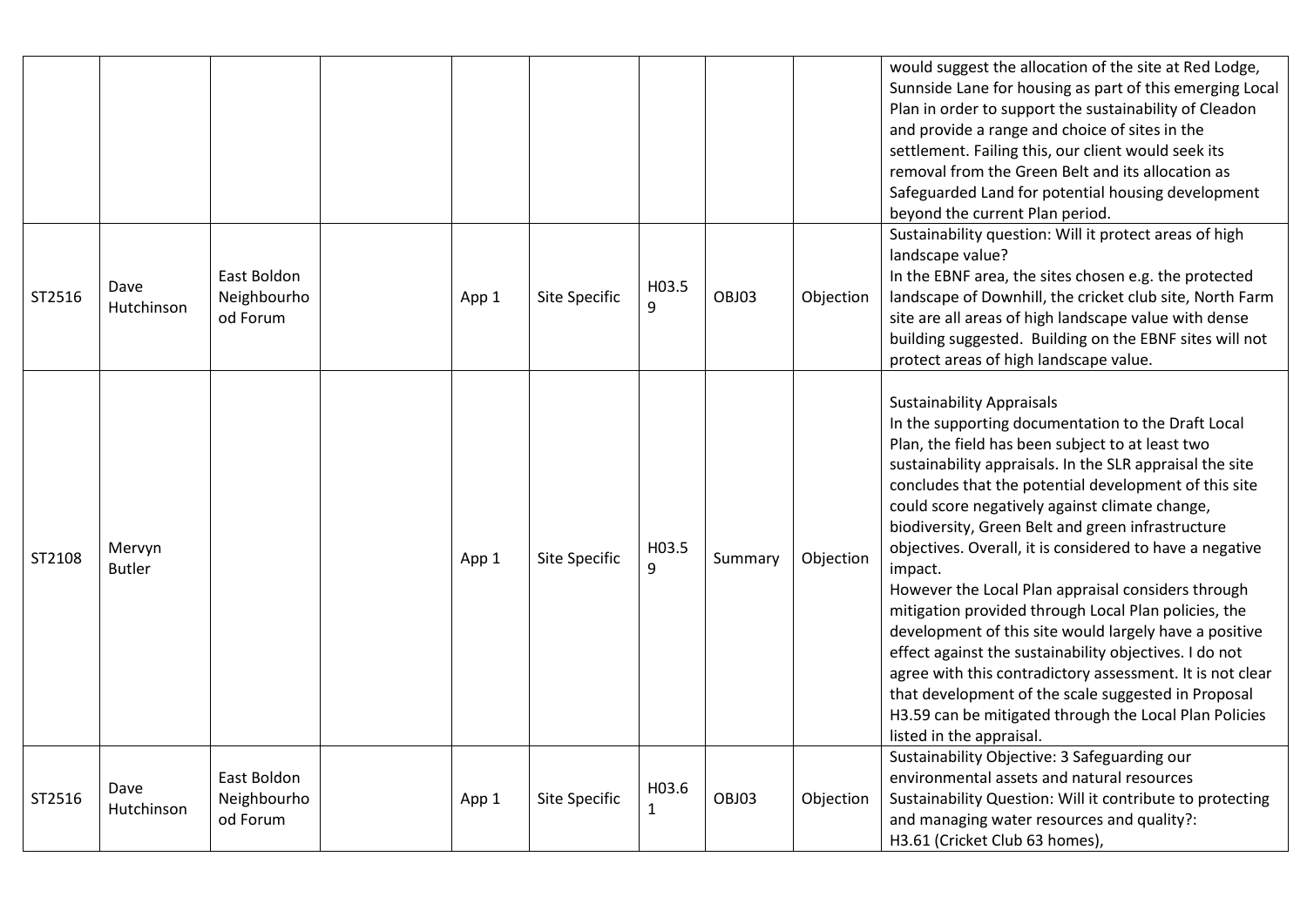|        |                         |                                        |       |               |                       |         |           | would suggest the allocation of the site at Red Lodge,<br>Sunnside Lane for housing as part of this emerging Local<br>Plan in order to support the sustainability of Cleadon<br>and provide a range and choice of sites in the<br>settlement. Failing this, our client would seek its<br>removal from the Green Belt and its allocation as<br>Safeguarded Land for potential housing development<br>beyond the current Plan period.                                                                                                                                                                                                                                                                                                                                                                                                                                                       |
|--------|-------------------------|----------------------------------------|-------|---------------|-----------------------|---------|-----------|-------------------------------------------------------------------------------------------------------------------------------------------------------------------------------------------------------------------------------------------------------------------------------------------------------------------------------------------------------------------------------------------------------------------------------------------------------------------------------------------------------------------------------------------------------------------------------------------------------------------------------------------------------------------------------------------------------------------------------------------------------------------------------------------------------------------------------------------------------------------------------------------|
| ST2516 | Dave<br>Hutchinson      | East Boldon<br>Neighbourho<br>od Forum | App 1 | Site Specific | H03.5<br>9            | OBJ03   | Objection | Sustainability question: Will it protect areas of high<br>landscape value?<br>In the EBNF area, the sites chosen e.g. the protected<br>landscape of Downhill, the cricket club site, North Farm<br>site are all areas of high landscape value with dense<br>building suggested. Building on the EBNF sites will not<br>protect areas of high landscape value.                                                                                                                                                                                                                                                                                                                                                                                                                                                                                                                             |
| ST2108 | Mervyn<br><b>Butler</b> |                                        | App 1 | Site Specific | H03.5<br>9            | Summary | Objection | <b>Sustainability Appraisals</b><br>In the supporting documentation to the Draft Local<br>Plan, the field has been subject to at least two<br>sustainability appraisals. In the SLR appraisal the site<br>concludes that the potential development of this site<br>could score negatively against climate change,<br>biodiversity, Green Belt and green infrastructure<br>objectives. Overall, it is considered to have a negative<br>impact.<br>However the Local Plan appraisal considers through<br>mitigation provided through Local Plan policies, the<br>development of this site would largely have a positive<br>effect against the sustainability objectives. I do not<br>agree with this contradictory assessment. It is not clear<br>that development of the scale suggested in Proposal<br>H3.59 can be mitigated through the Local Plan Policies<br>listed in the appraisal. |
| ST2516 | Dave<br>Hutchinson      | East Boldon<br>Neighbourho<br>od Forum | App 1 | Site Specific | H03.6<br>$\mathbf{1}$ | OBJ03   | Objection | Sustainability Objective: 3 Safeguarding our<br>environmental assets and natural resources<br>Sustainability Question: Will it contribute to protecting<br>and managing water resources and quality?:<br>H3.61 (Cricket Club 63 homes),                                                                                                                                                                                                                                                                                                                                                                                                                                                                                                                                                                                                                                                   |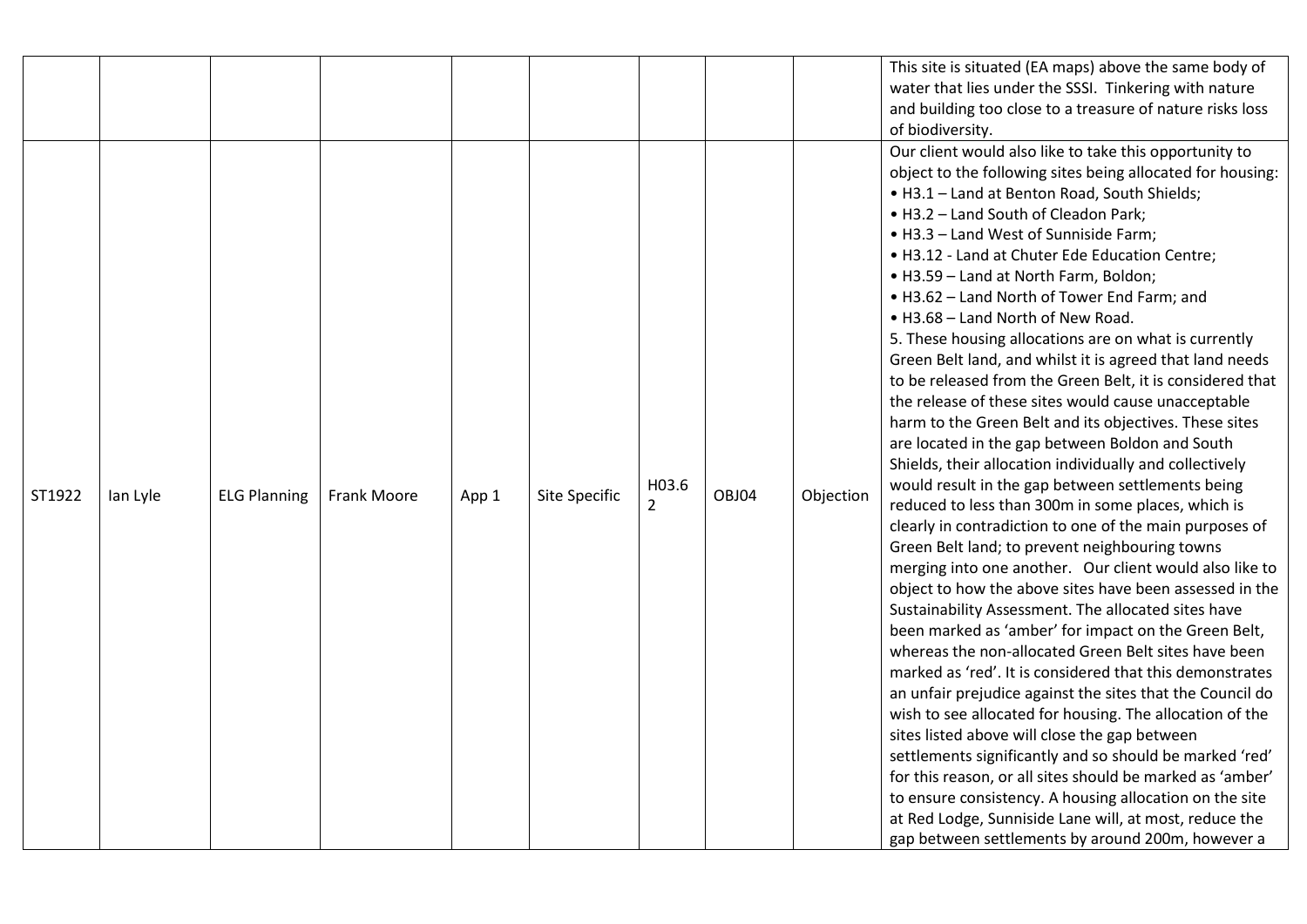|        |          |                     |             |       |               |                         |       |           | This site is situated (EA maps) above the same body of<br>water that lies under the SSSI. Tinkering with nature<br>and building too close to a treasure of nature risks loss<br>of biodiversity.                                                                                                                                                                                                                                                                                                                                                                                                                                                                                                                                                                                                                                                                                                                                                                                                                                                                                                                                                                                                                                                                                                                                                                                                                                                                                                                                                                                                                                                                                                                                                                                                                                                                                                                   |
|--------|----------|---------------------|-------------|-------|---------------|-------------------------|-------|-----------|--------------------------------------------------------------------------------------------------------------------------------------------------------------------------------------------------------------------------------------------------------------------------------------------------------------------------------------------------------------------------------------------------------------------------------------------------------------------------------------------------------------------------------------------------------------------------------------------------------------------------------------------------------------------------------------------------------------------------------------------------------------------------------------------------------------------------------------------------------------------------------------------------------------------------------------------------------------------------------------------------------------------------------------------------------------------------------------------------------------------------------------------------------------------------------------------------------------------------------------------------------------------------------------------------------------------------------------------------------------------------------------------------------------------------------------------------------------------------------------------------------------------------------------------------------------------------------------------------------------------------------------------------------------------------------------------------------------------------------------------------------------------------------------------------------------------------------------------------------------------------------------------------------------------|
| ST1922 | lan Lyle | <b>ELG Planning</b> | Frank Moore | App 1 | Site Specific | H03.6<br>$\overline{2}$ | OBJ04 | Objection | Our client would also like to take this opportunity to<br>object to the following sites being allocated for housing:<br>. H3.1 - Land at Benton Road, South Shields;<br>• H3.2 - Land South of Cleadon Park;<br>• H3.3 - Land West of Sunniside Farm;<br>. H3.12 - Land at Chuter Ede Education Centre;<br>• H3.59 - Land at North Farm, Boldon;<br>• H3.62 - Land North of Tower End Farm; and<br>. H3.68 - Land North of New Road.<br>5. These housing allocations are on what is currently<br>Green Belt land, and whilst it is agreed that land needs<br>to be released from the Green Belt, it is considered that<br>the release of these sites would cause unacceptable<br>harm to the Green Belt and its objectives. These sites<br>are located in the gap between Boldon and South<br>Shields, their allocation individually and collectively<br>would result in the gap between settlements being<br>reduced to less than 300m in some places, which is<br>clearly in contradiction to one of the main purposes of<br>Green Belt land; to prevent neighbouring towns<br>merging into one another. Our client would also like to<br>object to how the above sites have been assessed in the<br>Sustainability Assessment. The allocated sites have<br>been marked as 'amber' for impact on the Green Belt,<br>whereas the non-allocated Green Belt sites have been<br>marked as 'red'. It is considered that this demonstrates<br>an unfair prejudice against the sites that the Council do<br>wish to see allocated for housing. The allocation of the<br>sites listed above will close the gap between<br>settlements significantly and so should be marked 'red'<br>for this reason, or all sites should be marked as 'amber'<br>to ensure consistency. A housing allocation on the site<br>at Red Lodge, Sunniside Lane will, at most, reduce the<br>gap between settlements by around 200m, however a |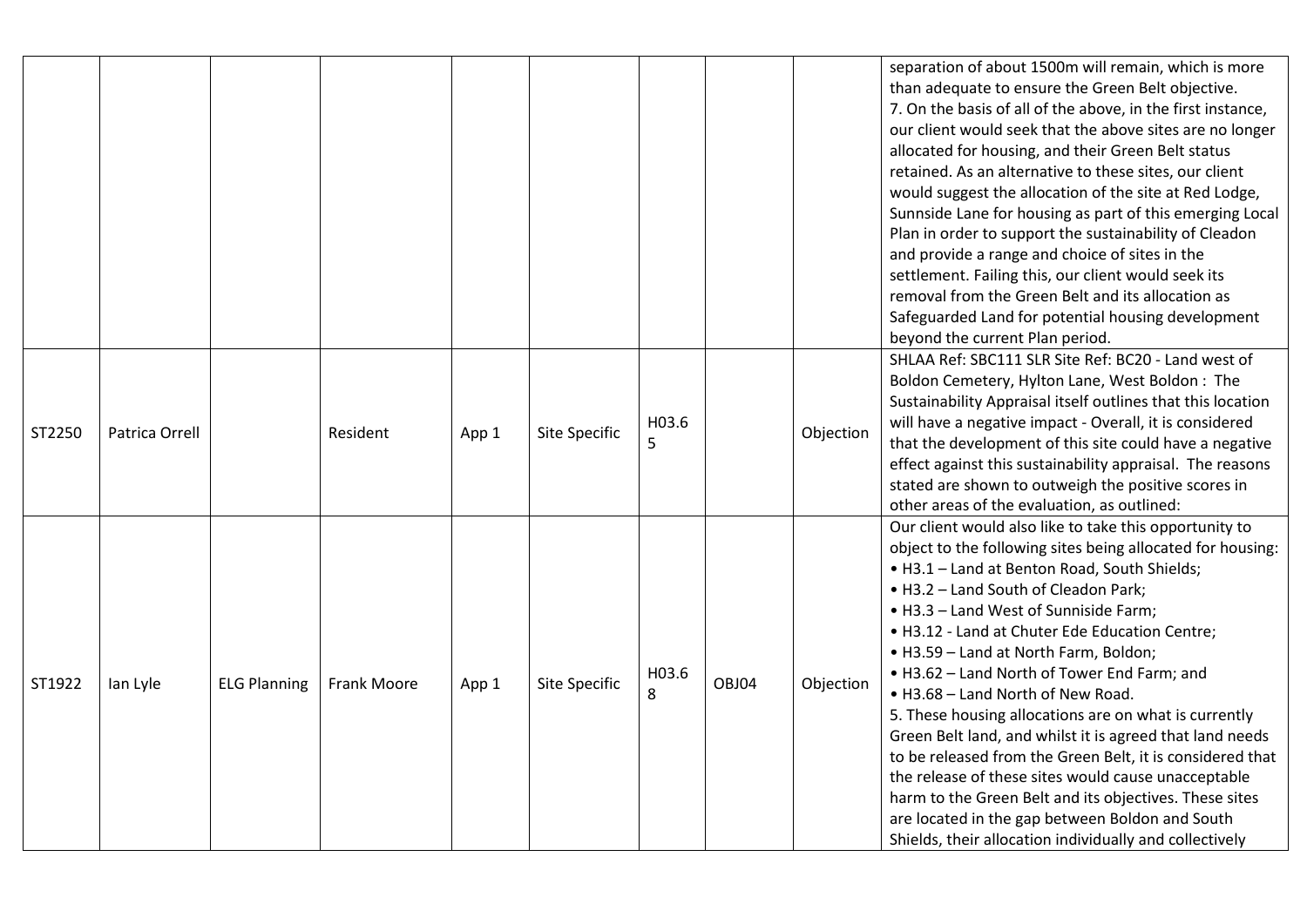|        |                |                     |                 |       |                      |            |       |           | separation of about 1500m will remain, which is more<br>than adequate to ensure the Green Belt objective.<br>7. On the basis of all of the above, in the first instance,<br>our client would seek that the above sites are no longer<br>allocated for housing, and their Green Belt status<br>retained. As an alternative to these sites, our client<br>would suggest the allocation of the site at Red Lodge,<br>Sunnside Lane for housing as part of this emerging Local<br>Plan in order to support the sustainability of Cleadon<br>and provide a range and choice of sites in the<br>settlement. Failing this, our client would seek its<br>removal from the Green Belt and its allocation as<br>Safeguarded Land for potential housing development<br>beyond the current Plan period.                                                           |
|--------|----------------|---------------------|-----------------|-------|----------------------|------------|-------|-----------|-------------------------------------------------------------------------------------------------------------------------------------------------------------------------------------------------------------------------------------------------------------------------------------------------------------------------------------------------------------------------------------------------------------------------------------------------------------------------------------------------------------------------------------------------------------------------------------------------------------------------------------------------------------------------------------------------------------------------------------------------------------------------------------------------------------------------------------------------------|
| ST2250 | Patrica Orrell |                     | <b>Resident</b> | App 1 | <b>Site Specific</b> | H03.6<br>5 |       | Objection | SHLAA Ref: SBC111 SLR Site Ref: BC20 - Land west of<br>Boldon Cemetery, Hylton Lane, West Boldon: The<br>Sustainability Appraisal itself outlines that this location<br>will have a negative impact - Overall, it is considered<br>that the development of this site could have a negative<br>effect against this sustainability appraisal. The reasons<br>stated are shown to outweigh the positive scores in<br>other areas of the evaluation, as outlined:                                                                                                                                                                                                                                                                                                                                                                                         |
| ST1922 | lan Lyle       | <b>ELG Planning</b> | Frank Moore     | App 1 | <b>Site Specific</b> | H03.6<br>8 | OBJ04 | Objection | Our client would also like to take this opportunity to<br>object to the following sites being allocated for housing:<br>. H3.1 - Land at Benton Road, South Shields;<br>• H3.2 - Land South of Cleadon Park;<br>• H3.3 - Land West of Sunniside Farm;<br>. H3.12 - Land at Chuter Ede Education Centre;<br>• H3.59 - Land at North Farm, Boldon;<br>. H3.62 - Land North of Tower End Farm; and<br>. H3.68 - Land North of New Road.<br>5. These housing allocations are on what is currently<br>Green Belt land, and whilst it is agreed that land needs<br>to be released from the Green Belt, it is considered that<br>the release of these sites would cause unacceptable<br>harm to the Green Belt and its objectives. These sites<br>are located in the gap between Boldon and South<br>Shields, their allocation individually and collectively |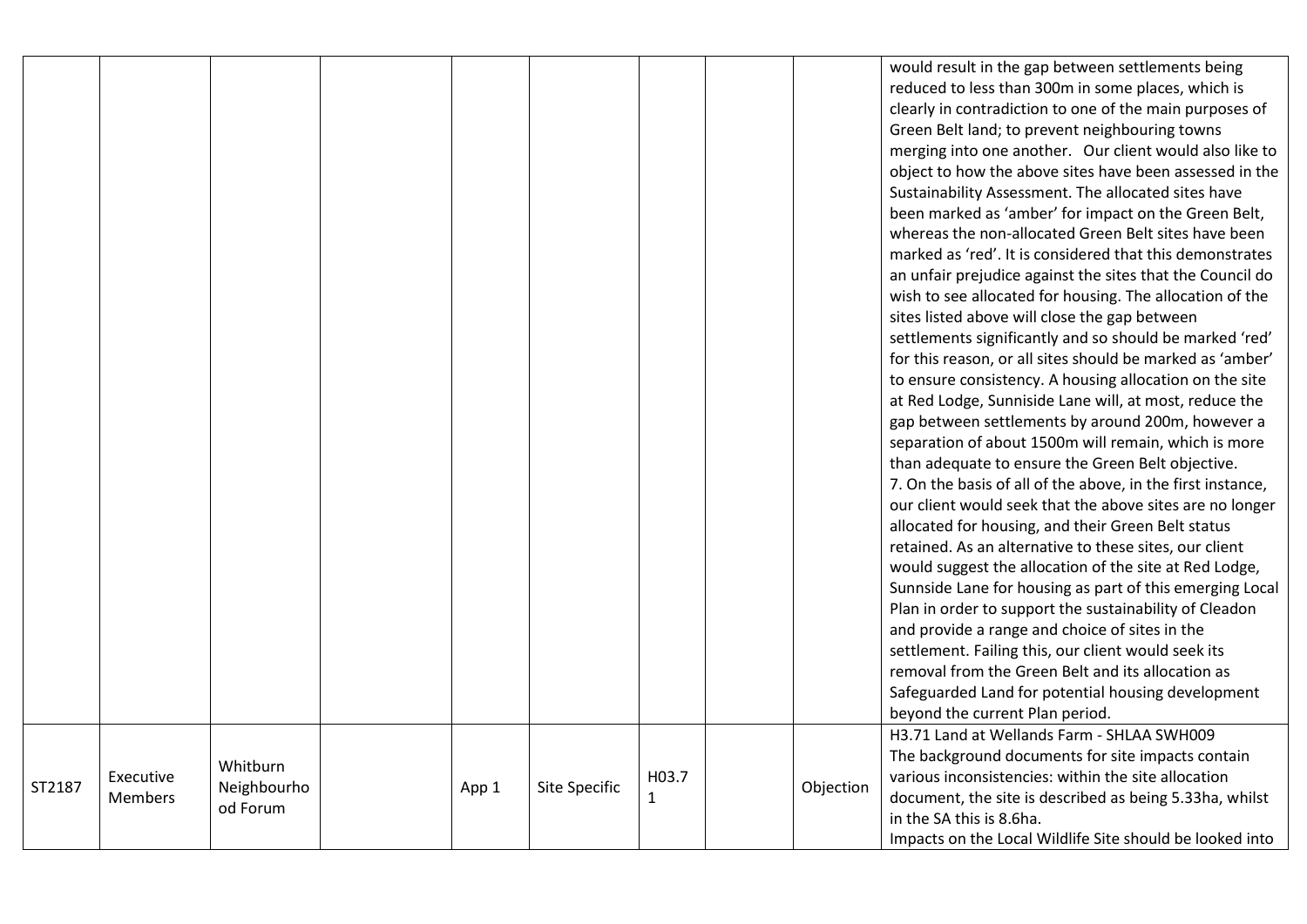|        |                             |                                     |       |                      |            |           | would result in the gap between settlements being<br>reduced to less than 300m in some places, which is<br>clearly in contradiction to one of the main purposes of<br>Green Belt land; to prevent neighbouring towns<br>merging into one another. Our client would also like to<br>object to how the above sites have been assessed in the<br>Sustainability Assessment. The allocated sites have<br>been marked as 'amber' for impact on the Green Belt,<br>whereas the non-allocated Green Belt sites have been<br>marked as 'red'. It is considered that this demonstrates<br>an unfair prejudice against the sites that the Council do<br>wish to see allocated for housing. The allocation of the<br>sites listed above will close the gap between<br>settlements significantly and so should be marked 'red'<br>for this reason, or all sites should be marked as 'amber'<br>to ensure consistency. A housing allocation on the site<br>at Red Lodge, Sunniside Lane will, at most, reduce the<br>gap between settlements by around 200m, however a<br>separation of about 1500m will remain, which is more<br>than adequate to ensure the Green Belt objective.<br>7. On the basis of all of the above, in the first instance,<br>our client would seek that the above sites are no longer<br>allocated for housing, and their Green Belt status<br>retained. As an alternative to these sites, our client<br>would suggest the allocation of the site at Red Lodge,<br>Sunnside Lane for housing as part of this emerging Local<br>Plan in order to support the sustainability of Cleadon<br>and provide a range and choice of sites in the<br>settlement. Failing this, our client would seek its<br>removal from the Green Belt and its allocation as<br>Safeguarded Land for potential housing development<br>beyond the current Plan period. |
|--------|-----------------------------|-------------------------------------|-------|----------------------|------------|-----------|----------------------------------------------------------------------------------------------------------------------------------------------------------------------------------------------------------------------------------------------------------------------------------------------------------------------------------------------------------------------------------------------------------------------------------------------------------------------------------------------------------------------------------------------------------------------------------------------------------------------------------------------------------------------------------------------------------------------------------------------------------------------------------------------------------------------------------------------------------------------------------------------------------------------------------------------------------------------------------------------------------------------------------------------------------------------------------------------------------------------------------------------------------------------------------------------------------------------------------------------------------------------------------------------------------------------------------------------------------------------------------------------------------------------------------------------------------------------------------------------------------------------------------------------------------------------------------------------------------------------------------------------------------------------------------------------------------------------------------------------------------------------------------------------------------------------------------------------------------|
| ST2187 | Executive<br><b>Members</b> | Whitburn<br>Neighbourho<br>od Forum | App 1 | <b>Site Specific</b> | H03.7<br>1 | Objection | H3.71 Land at Wellands Farm - SHLAA SWH009<br>The background documents for site impacts contain<br>various inconsistencies: within the site allocation<br>document, the site is described as being 5.33ha, whilst<br>in the SA this is 8.6ha.<br>Impacts on the Local Wildlife Site should be looked into                                                                                                                                                                                                                                                                                                                                                                                                                                                                                                                                                                                                                                                                                                                                                                                                                                                                                                                                                                                                                                                                                                                                                                                                                                                                                                                                                                                                                                                                                                                                                |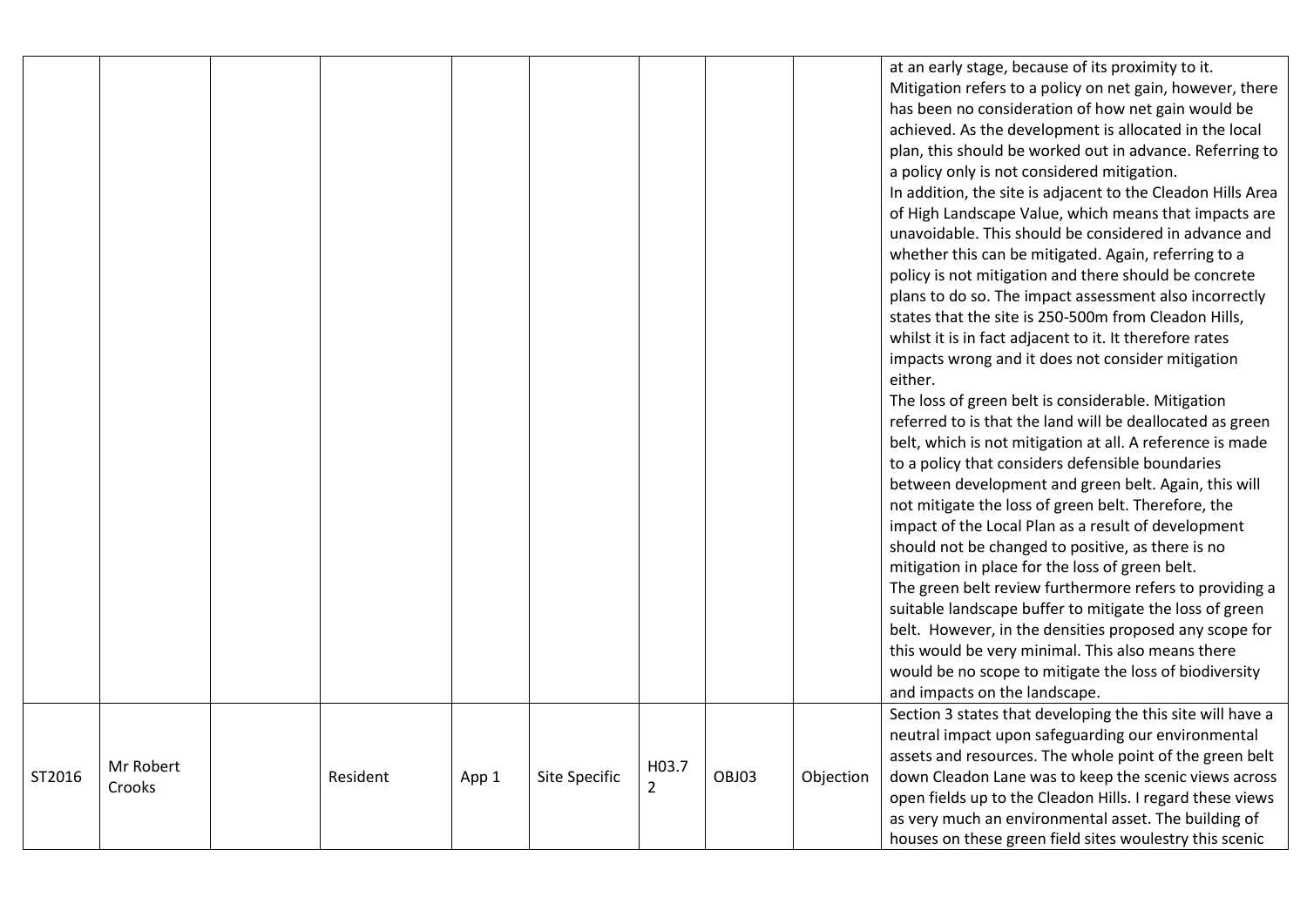|        |                     |          |       |               |                         |       |           | at an early stage, because of its proximity to it.<br>Mitigation refers to a policy on net gain, however, there<br>has been no consideration of how net gain would be<br>achieved. As the development is allocated in the local<br>plan, this should be worked out in advance. Referring to<br>a policy only is not considered mitigation.<br>In addition, the site is adjacent to the Cleadon Hills Area<br>of High Landscape Value, which means that impacts are<br>unavoidable. This should be considered in advance and<br>whether this can be mitigated. Again, referring to a<br>policy is not mitigation and there should be concrete<br>plans to do so. The impact assessment also incorrectly<br>states that the site is 250-500m from Cleadon Hills,<br>whilst it is in fact adjacent to it. It therefore rates<br>impacts wrong and it does not consider mitigation<br>either.<br>The loss of green belt is considerable. Mitigation |
|--------|---------------------|----------|-------|---------------|-------------------------|-------|-----------|-------------------------------------------------------------------------------------------------------------------------------------------------------------------------------------------------------------------------------------------------------------------------------------------------------------------------------------------------------------------------------------------------------------------------------------------------------------------------------------------------------------------------------------------------------------------------------------------------------------------------------------------------------------------------------------------------------------------------------------------------------------------------------------------------------------------------------------------------------------------------------------------------------------------------------------------------|
|        |                     |          |       |               |                         |       |           | belt. However, in the densities proposed any scope for<br>this would be very minimal. This also means there<br>would be no scope to mitigate the loss of biodiversity                                                                                                                                                                                                                                                                                                                                                                                                                                                                                                                                                                                                                                                                                                                                                                           |
|        |                     |          |       |               |                         |       |           | and impacts on the landscape.<br>Section 3 states that developing the this site will have a<br>neutral impact upon safeguarding our environmental                                                                                                                                                                                                                                                                                                                                                                                                                                                                                                                                                                                                                                                                                                                                                                                               |
| ST2016 | Mr Robert<br>Crooks | Resident | App 1 | Site Specific | H03.7<br>$\overline{2}$ | OBJ03 | Objection | assets and resources. The whole point of the green belt<br>down Cleadon Lane was to keep the scenic views across<br>open fields up to the Cleadon Hills. I regard these views<br>as very much an environmental asset. The building of<br>houses on these green field sites woulestry this scenic                                                                                                                                                                                                                                                                                                                                                                                                                                                                                                                                                                                                                                                |
|        |                     |          |       |               |                         |       |           |                                                                                                                                                                                                                                                                                                                                                                                                                                                                                                                                                                                                                                                                                                                                                                                                                                                                                                                                                 |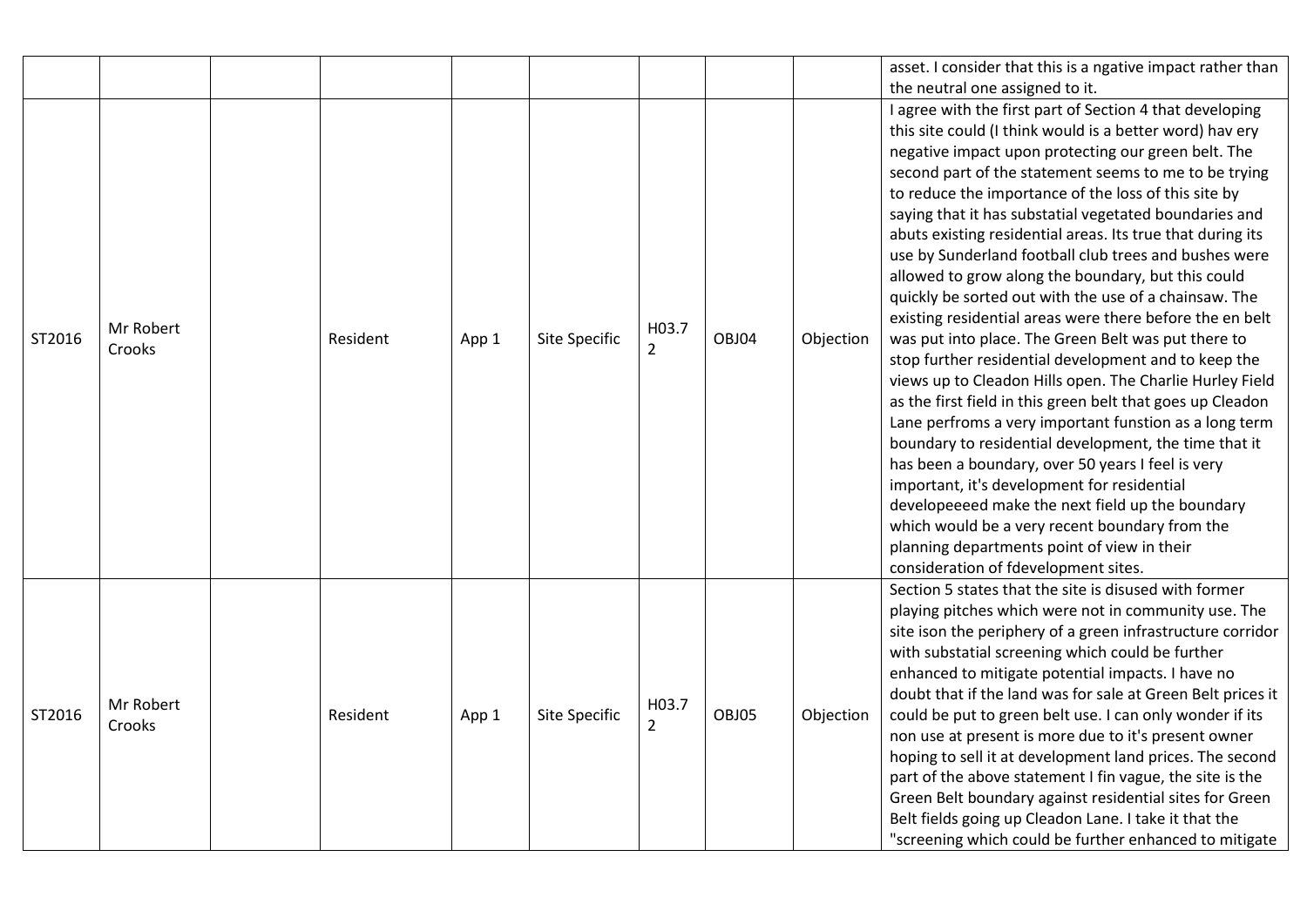|        |                     |                 |       |                      |                         |       |           | asset. I consider that this is a ngative impact rather than                                                                                                                                                                                                                                                                                                                                                                                                                                                                                                                                                                                                                                                                                                                                                                                                                                                                                                                                                                                                                                                                                                                                                                                                                                                           |
|--------|---------------------|-----------------|-------|----------------------|-------------------------|-------|-----------|-----------------------------------------------------------------------------------------------------------------------------------------------------------------------------------------------------------------------------------------------------------------------------------------------------------------------------------------------------------------------------------------------------------------------------------------------------------------------------------------------------------------------------------------------------------------------------------------------------------------------------------------------------------------------------------------------------------------------------------------------------------------------------------------------------------------------------------------------------------------------------------------------------------------------------------------------------------------------------------------------------------------------------------------------------------------------------------------------------------------------------------------------------------------------------------------------------------------------------------------------------------------------------------------------------------------------|
|        |                     |                 |       |                      |                         |       |           | the neutral one assigned to it.                                                                                                                                                                                                                                                                                                                                                                                                                                                                                                                                                                                                                                                                                                                                                                                                                                                                                                                                                                                                                                                                                                                                                                                                                                                                                       |
| ST2016 | Mr Robert<br>Crooks | <b>Resident</b> | App 1 | Site Specific        | H03.7<br>$\overline{2}$ | OBJ04 | Objection | I agree with the first part of Section 4 that developing<br>this site could (I think would is a better word) hav ery<br>negative impact upon protecting our green belt. The<br>second part of the statement seems to me to be trying<br>to reduce the importance of the loss of this site by<br>saying that it has substatial vegetated boundaries and<br>abuts existing residential areas. Its true that during its<br>use by Sunderland football club trees and bushes were<br>allowed to grow along the boundary, but this could<br>quickly be sorted out with the use of a chainsaw. The<br>existing residential areas were there before the en belt<br>was put into place. The Green Belt was put there to<br>stop further residential development and to keep the<br>views up to Cleadon Hills open. The Charlie Hurley Field<br>as the first field in this green belt that goes up Cleadon<br>Lane perfroms a very important funstion as a long term<br>boundary to residential development, the time that it<br>has been a boundary, over 50 years I feel is very<br>important, it's development for residential<br>developeeeed make the next field up the boundary<br>which would be a very recent boundary from the<br>planning departments point of view in their<br>consideration of fdevelopment sites. |
| ST2016 | Mr Robert<br>Crooks | Resident        | App 1 | <b>Site Specific</b> | H03.7<br>$\overline{2}$ | OBJ05 | Objection | Section 5 states that the site is disused with former<br>playing pitches which were not in community use. The<br>site ison the periphery of a green infrastructure corridor<br>with substatial screening which could be further<br>enhanced to mitigate potential impacts. I have no<br>doubt that if the land was for sale at Green Belt prices it<br>could be put to green belt use. I can only wonder if its<br>non use at present is more due to it's present owner<br>hoping to sell it at development land prices. The second<br>part of the above statement I fin vague, the site is the<br>Green Belt boundary against residential sites for Green<br>Belt fields going up Cleadon Lane. I take it that the<br>"screening which could be further enhanced to mitigate                                                                                                                                                                                                                                                                                                                                                                                                                                                                                                                                         |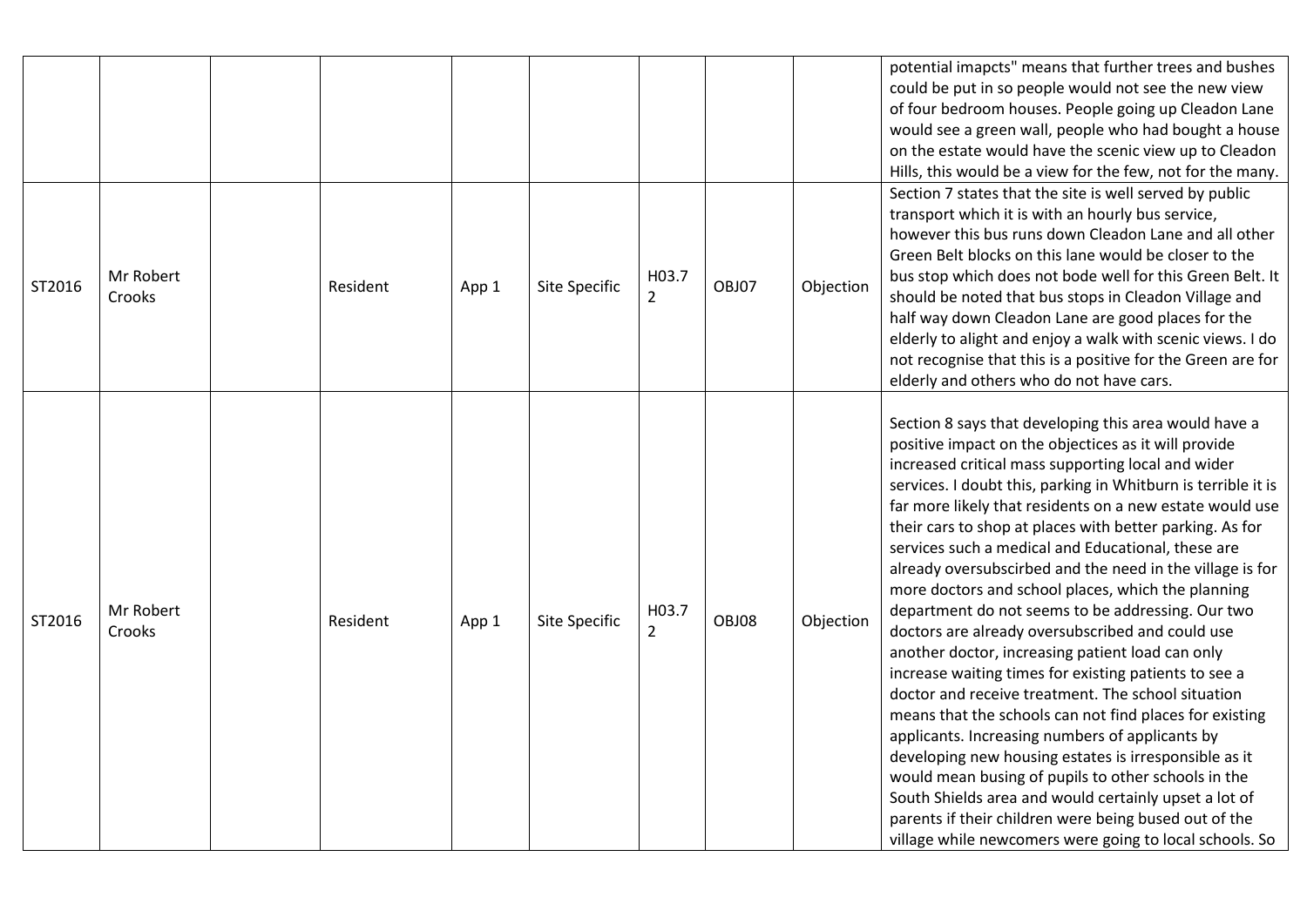|        |                     |          |       |               |                         |       |           | potential imapcts" means that further trees and bushes<br>could be put in so people would not see the new view<br>of four bedroom houses. People going up Cleadon Lane<br>would see a green wall, people who had bought a house<br>on the estate would have the scenic view up to Cleadon                                                                                                                                                                                                                                                                                                                                                                                                                                                                                                                                                                                                                                                                                                                                                                                                                                                                                                                                    |
|--------|---------------------|----------|-------|---------------|-------------------------|-------|-----------|------------------------------------------------------------------------------------------------------------------------------------------------------------------------------------------------------------------------------------------------------------------------------------------------------------------------------------------------------------------------------------------------------------------------------------------------------------------------------------------------------------------------------------------------------------------------------------------------------------------------------------------------------------------------------------------------------------------------------------------------------------------------------------------------------------------------------------------------------------------------------------------------------------------------------------------------------------------------------------------------------------------------------------------------------------------------------------------------------------------------------------------------------------------------------------------------------------------------------|
| ST2016 | Mr Robert<br>Crooks | Resident | App 1 | Site Specific | H03.7<br>$\overline{2}$ | OBJ07 | Objection | Hills, this would be a view for the few, not for the many.<br>Section 7 states that the site is well served by public<br>transport which it is with an hourly bus service,<br>however this bus runs down Cleadon Lane and all other<br>Green Belt blocks on this lane would be closer to the<br>bus stop which does not bode well for this Green Belt. It<br>should be noted that bus stops in Cleadon Village and<br>half way down Cleadon Lane are good places for the<br>elderly to alight and enjoy a walk with scenic views. I do<br>not recognise that this is a positive for the Green are for<br>elderly and others who do not have cars.                                                                                                                                                                                                                                                                                                                                                                                                                                                                                                                                                                            |
| ST2016 | Mr Robert<br>Crooks | Resident | App 1 | Site Specific | H03.7<br>$\overline{2}$ | OBJ08 | Objection | Section 8 says that developing this area would have a<br>positive impact on the objectices as it will provide<br>increased critical mass supporting local and wider<br>services. I doubt this, parking in Whitburn is terrible it is<br>far more likely that residents on a new estate would use<br>their cars to shop at places with better parking. As for<br>services such a medical and Educational, these are<br>already oversubscirbed and the need in the village is for<br>more doctors and school places, which the planning<br>department do not seems to be addressing. Our two<br>doctors are already oversubscribed and could use<br>another doctor, increasing patient load can only<br>increase waiting times for existing patients to see a<br>doctor and receive treatment. The school situation<br>means that the schools can not find places for existing<br>applicants. Increasing numbers of applicants by<br>developing new housing estates is irresponsible as it<br>would mean busing of pupils to other schools in the<br>South Shields area and would certainly upset a lot of<br>parents if their children were being bused out of the<br>village while newcomers were going to local schools. So |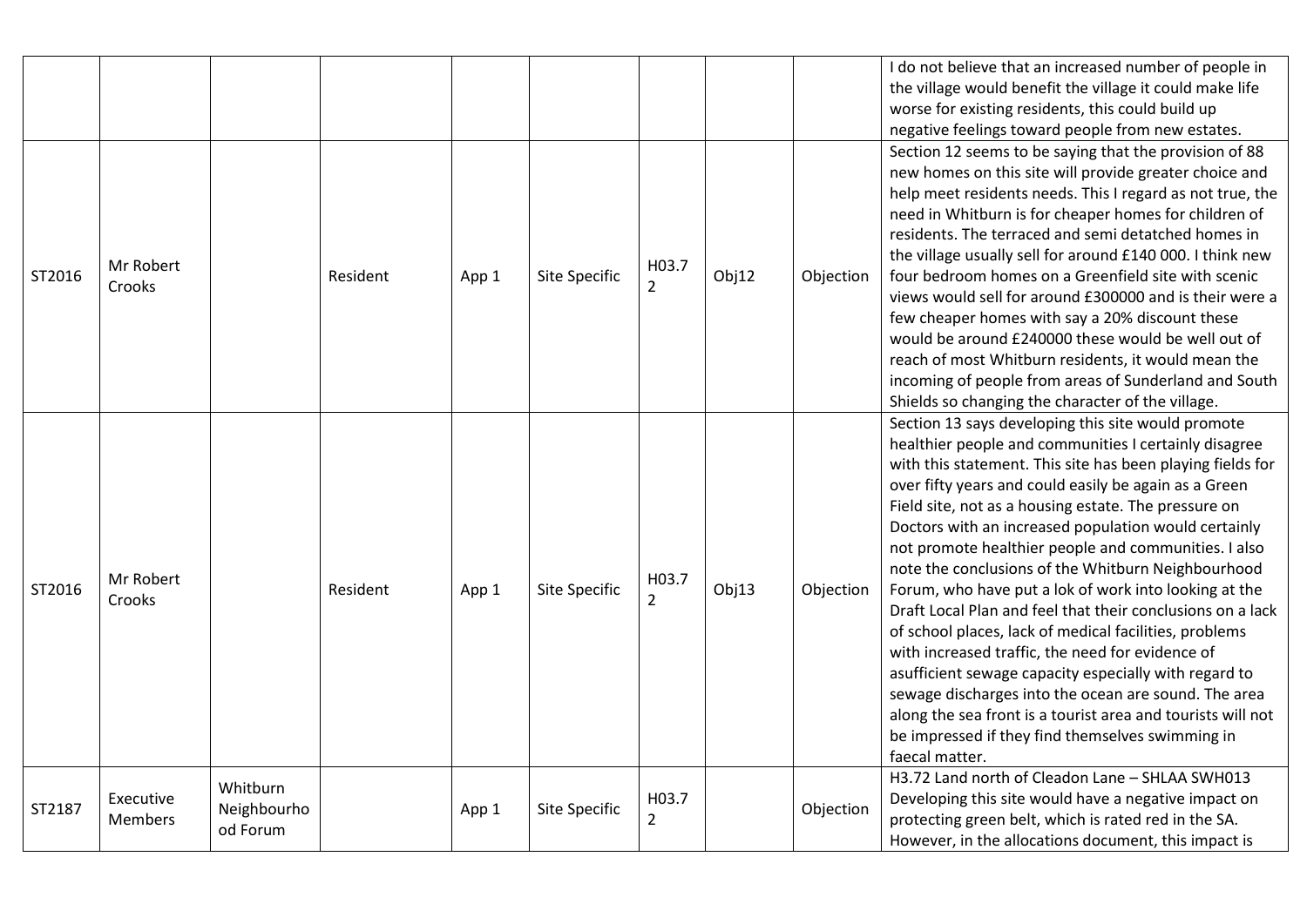|        |                             |                                     |          |       |               |                         |       |           | I do not believe that an increased number of people in<br>the village would benefit the village it could make life<br>worse for existing residents, this could build up<br>negative feelings toward people from new estates.                                                                                                                                                                                                                                                                                                                                                                                                                                                                                                                                                                                                                                                                                                                                |
|--------|-----------------------------|-------------------------------------|----------|-------|---------------|-------------------------|-------|-----------|-------------------------------------------------------------------------------------------------------------------------------------------------------------------------------------------------------------------------------------------------------------------------------------------------------------------------------------------------------------------------------------------------------------------------------------------------------------------------------------------------------------------------------------------------------------------------------------------------------------------------------------------------------------------------------------------------------------------------------------------------------------------------------------------------------------------------------------------------------------------------------------------------------------------------------------------------------------|
| ST2016 | Mr Robert<br>Crooks         |                                     | Resident | App 1 | Site Specific | H03.7<br>$\overline{2}$ | Obj12 | Objection | Section 12 seems to be saying that the provision of 88<br>new homes on this site will provide greater choice and<br>help meet residents needs. This I regard as not true, the<br>need in Whitburn is for cheaper homes for children of<br>residents. The terraced and semi detatched homes in<br>the village usually sell for around £140 000. I think new<br>four bedroom homes on a Greenfield site with scenic<br>views would sell for around £300000 and is their were a<br>few cheaper homes with say a 20% discount these<br>would be around £240000 these would be well out of<br>reach of most Whitburn residents, it would mean the<br>incoming of people from areas of Sunderland and South<br>Shields so changing the character of the village.                                                                                                                                                                                                  |
| ST2016 | Mr Robert<br>Crooks         |                                     | Resident | App 1 | Site Specific | H03.7<br>$\overline{2}$ | Obj13 | Objection | Section 13 says developing this site would promote<br>healthier people and communities I certainly disagree<br>with this statement. This site has been playing fields for<br>over fifty years and could easily be again as a Green<br>Field site, not as a housing estate. The pressure on<br>Doctors with an increased population would certainly<br>not promote healthier people and communities. I also<br>note the conclusions of the Whitburn Neighbourhood<br>Forum, who have put a lok of work into looking at the<br>Draft Local Plan and feel that their conclusions on a lack<br>of school places, lack of medical facilities, problems<br>with increased traffic, the need for evidence of<br>asufficient sewage capacity especially with regard to<br>sewage discharges into the ocean are sound. The area<br>along the sea front is a tourist area and tourists will not<br>be impressed if they find themselves swimming in<br>faecal matter. |
| ST2187 | Executive<br><b>Members</b> | Whitburn<br>Neighbourho<br>od Forum |          | App 1 | Site Specific | H03.7<br>$\overline{2}$ |       | Objection | H3.72 Land north of Cleadon Lane - SHLAA SWH013<br>Developing this site would have a negative impact on<br>protecting green belt, which is rated red in the SA.<br>However, in the allocations document, this impact is                                                                                                                                                                                                                                                                                                                                                                                                                                                                                                                                                                                                                                                                                                                                     |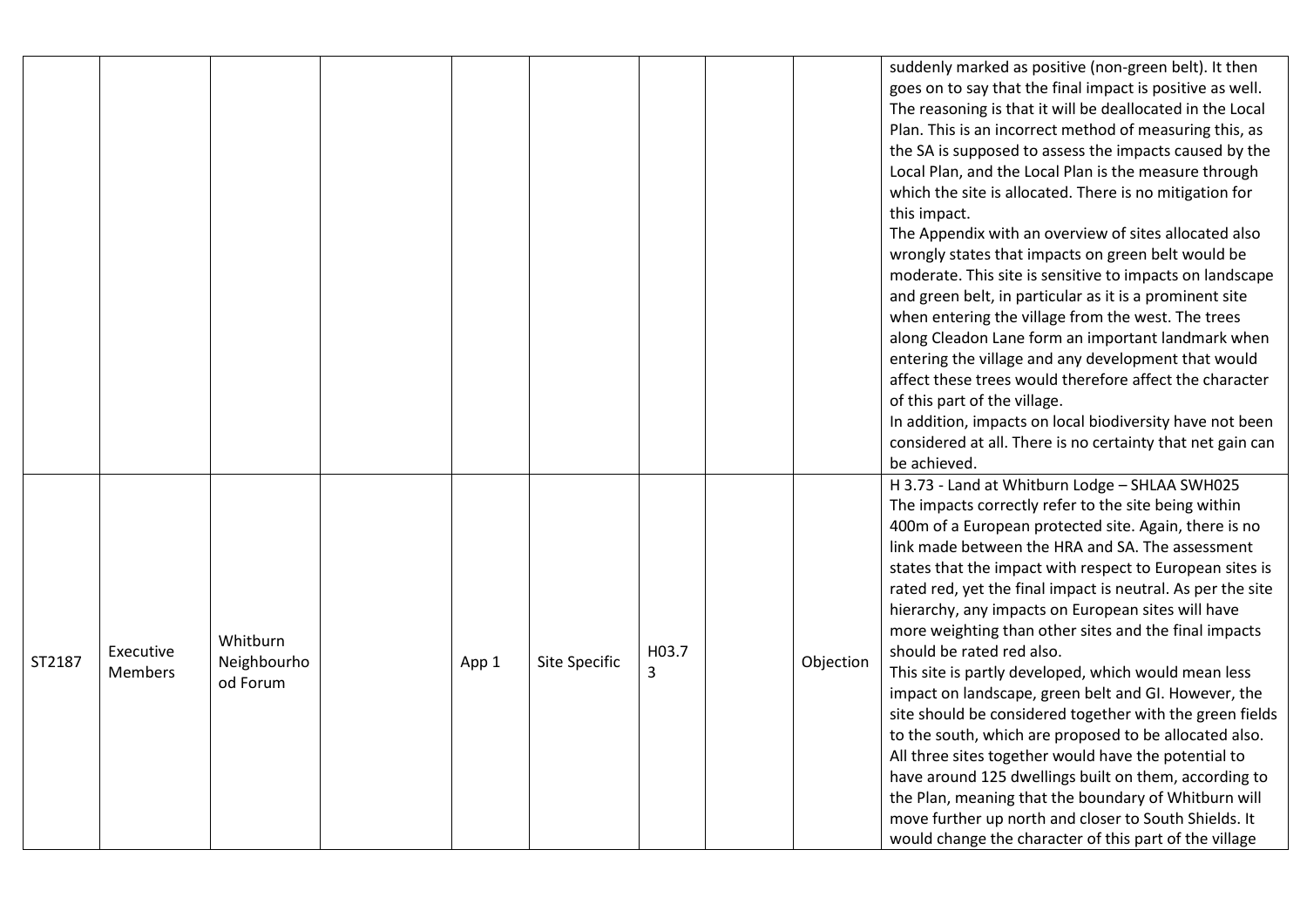|        |                             |                                     |       |                      |            |           | suddenly marked as positive (non-green belt). It then<br>goes on to say that the final impact is positive as well.<br>The reasoning is that it will be deallocated in the Local<br>Plan. This is an incorrect method of measuring this, as<br>the SA is supposed to assess the impacts caused by the<br>Local Plan, and the Local Plan is the measure through<br>which the site is allocated. There is no mitigation for<br>this impact.<br>The Appendix with an overview of sites allocated also<br>wrongly states that impacts on green belt would be<br>moderate. This site is sensitive to impacts on landscape<br>and green belt, in particular as it is a prominent site<br>when entering the village from the west. The trees<br>along Cleadon Lane form an important landmark when<br>entering the village and any development that would<br>affect these trees would therefore affect the character<br>of this part of the village.<br>In addition, impacts on local biodiversity have not been<br>considered at all. There is no certainty that net gain can<br>be achieved. |
|--------|-----------------------------|-------------------------------------|-------|----------------------|------------|-----------|----------------------------------------------------------------------------------------------------------------------------------------------------------------------------------------------------------------------------------------------------------------------------------------------------------------------------------------------------------------------------------------------------------------------------------------------------------------------------------------------------------------------------------------------------------------------------------------------------------------------------------------------------------------------------------------------------------------------------------------------------------------------------------------------------------------------------------------------------------------------------------------------------------------------------------------------------------------------------------------------------------------------------------------------------------------------------------------|
| ST2187 | Executive<br><b>Members</b> | Whitburn<br>Neighbourho<br>od Forum | App 1 | <b>Site Specific</b> | H03.7<br>3 | Objection | H 3.73 - Land at Whitburn Lodge - SHLAA SWH025<br>The impacts correctly refer to the site being within<br>400m of a European protected site. Again, there is no<br>link made between the HRA and SA. The assessment<br>states that the impact with respect to European sites is<br>rated red, yet the final impact is neutral. As per the site<br>hierarchy, any impacts on European sites will have<br>more weighting than other sites and the final impacts<br>should be rated red also.<br>This site is partly developed, which would mean less<br>impact on landscape, green belt and GI. However, the<br>site should be considered together with the green fields<br>to the south, which are proposed to be allocated also.<br>All three sites together would have the potential to<br>have around 125 dwellings built on them, according to<br>the Plan, meaning that the boundary of Whitburn will<br>move further up north and closer to South Shields. It<br>would change the character of this part of the village                                                           |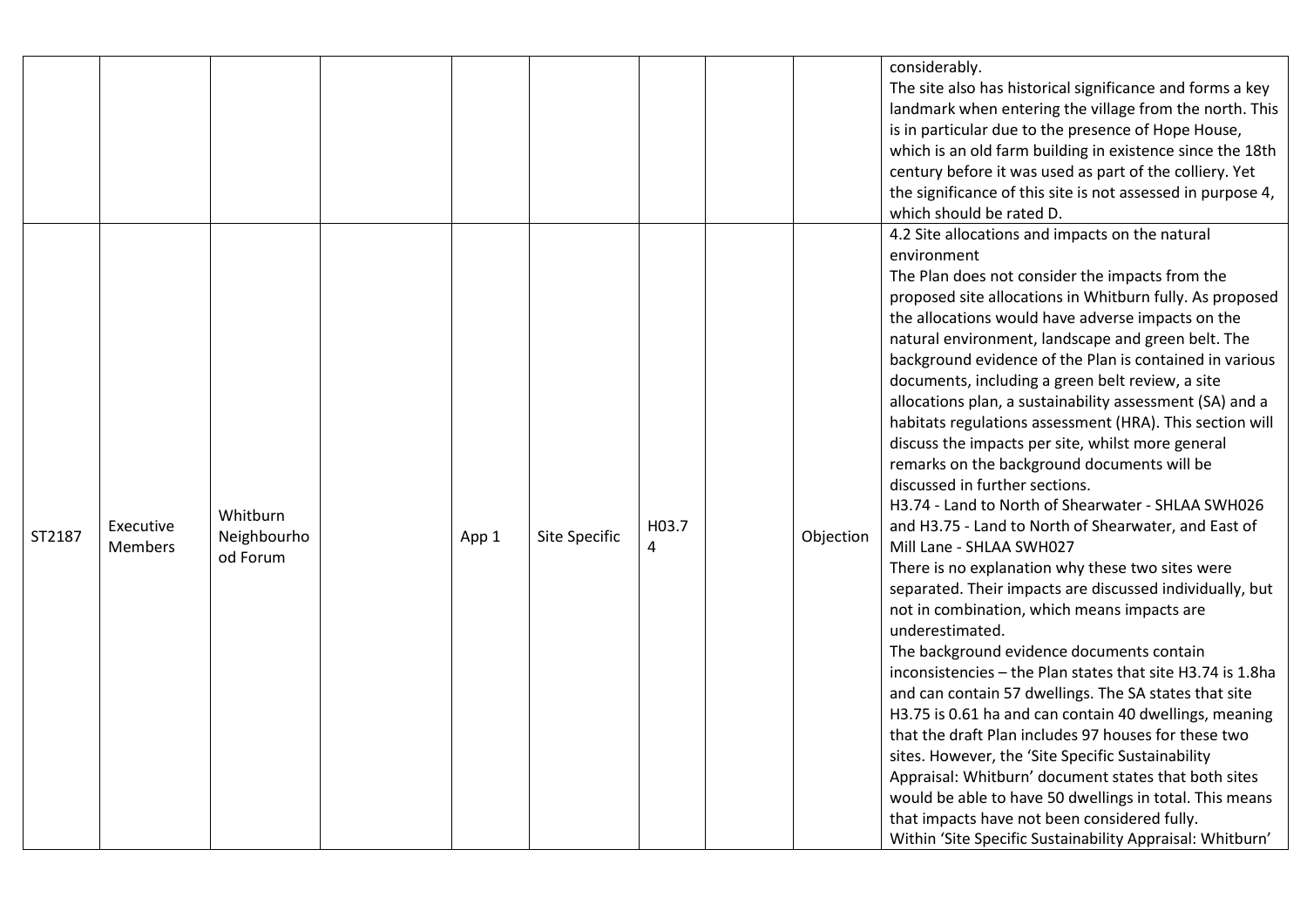|        |                             |                                     |       |               |            |           | considerably.<br>The site also has historical significance and forms a key<br>landmark when entering the village from the north. This<br>is in particular due to the presence of Hope House,<br>which is an old farm building in existence since the 18th<br>century before it was used as part of the colliery. Yet<br>the significance of this site is not assessed in purpose 4,<br>which should be rated D.                                                                                                                                                                                                                                                                                                                                                                                                                                                                                                                                                                                                                                                                                                                                                                                                                                                                                                                                                                                                                                                                                                                                                              |
|--------|-----------------------------|-------------------------------------|-------|---------------|------------|-----------|------------------------------------------------------------------------------------------------------------------------------------------------------------------------------------------------------------------------------------------------------------------------------------------------------------------------------------------------------------------------------------------------------------------------------------------------------------------------------------------------------------------------------------------------------------------------------------------------------------------------------------------------------------------------------------------------------------------------------------------------------------------------------------------------------------------------------------------------------------------------------------------------------------------------------------------------------------------------------------------------------------------------------------------------------------------------------------------------------------------------------------------------------------------------------------------------------------------------------------------------------------------------------------------------------------------------------------------------------------------------------------------------------------------------------------------------------------------------------------------------------------------------------------------------------------------------------|
| ST2187 | Executive<br><b>Members</b> | Whitburn<br>Neighbourho<br>od Forum | App 1 | Site Specific | H03.7<br>4 | Objection | 4.2 Site allocations and impacts on the natural<br>environment<br>The Plan does not consider the impacts from the<br>proposed site allocations in Whitburn fully. As proposed<br>the allocations would have adverse impacts on the<br>natural environment, landscape and green belt. The<br>background evidence of the Plan is contained in various<br>documents, including a green belt review, a site<br>allocations plan, a sustainability assessment (SA) and a<br>habitats regulations assessment (HRA). This section will<br>discuss the impacts per site, whilst more general<br>remarks on the background documents will be<br>discussed in further sections.<br>H3.74 - Land to North of Shearwater - SHLAA SWH026<br>and H3.75 - Land to North of Shearwater, and East of<br>Mill Lane - SHLAA SWH027<br>There is no explanation why these two sites were<br>separated. Their impacts are discussed individually, but<br>not in combination, which means impacts are<br>underestimated.<br>The background evidence documents contain<br>inconsistencies - the Plan states that site H3.74 is 1.8ha<br>and can contain 57 dwellings. The SA states that site<br>H3.75 is 0.61 ha and can contain 40 dwellings, meaning<br>that the draft Plan includes 97 houses for these two<br>sites. However, the 'Site Specific Sustainability<br>Appraisal: Whitburn' document states that both sites<br>would be able to have 50 dwellings in total. This means<br>that impacts have not been considered fully.<br>Within 'Site Specific Sustainability Appraisal: Whitburn' |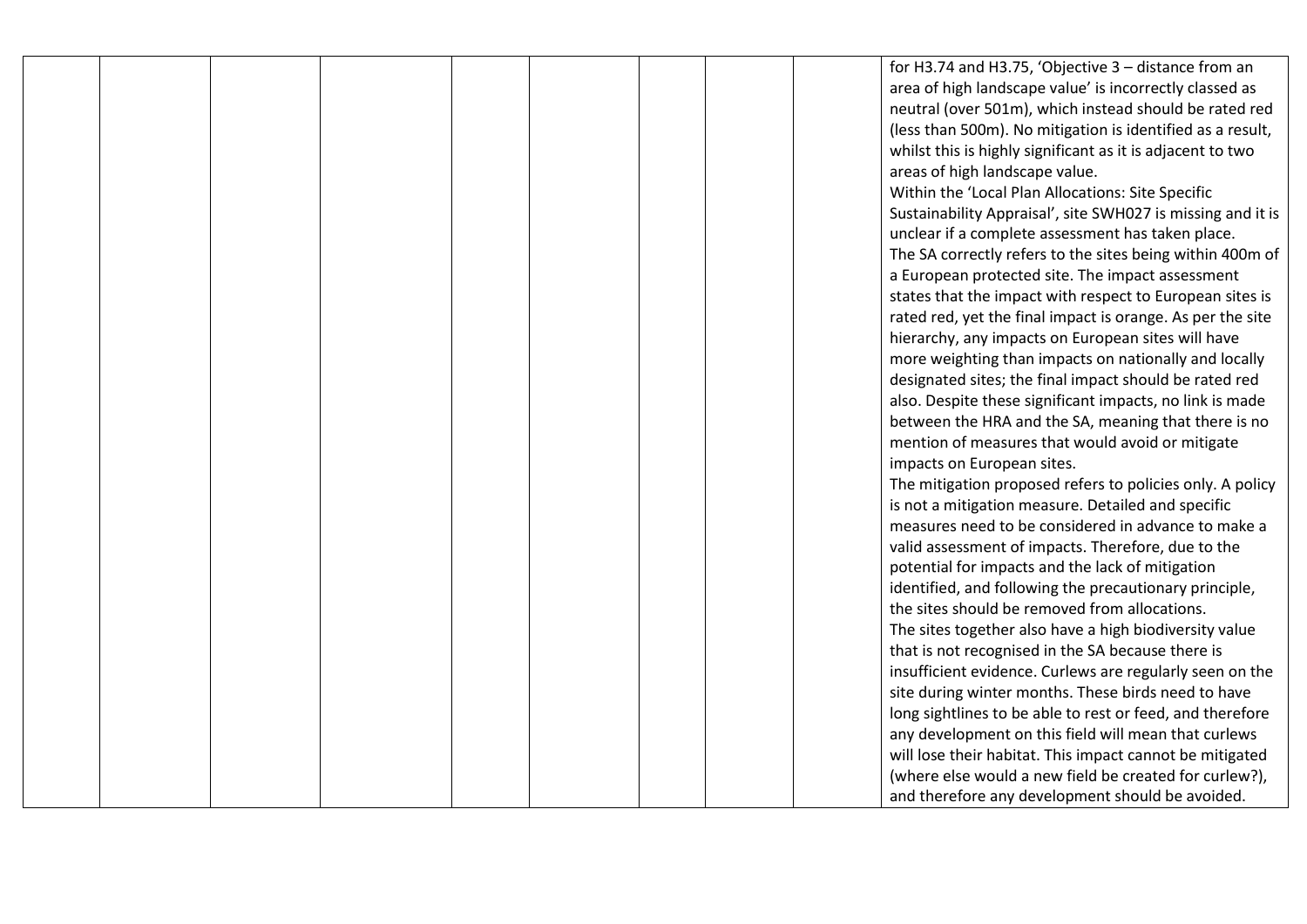for H3.74 and H3.75, 'Objective 3 – distance from an area of high landscape value' is incorrectly classed as neutral (over 501m), which instead should be rated red (less than 500m). No mitigation is identified as a result, whilst this is highly significant as it is adjacent to two areas of high landscape value.

Within the 'Local Plan Allocations: Site Specific Sustainability Appraisal', site SWH027 is missing and it is unclear if a complete assessment has taken place. The SA correctly refers to the sites being within 400m of a European protected site. The impact assessment states that the impact with respect to European sites is rated red, yet the final impact is orange. As per the site hierarchy, any impacts on European sites will have more weighting than impacts on nationally and locally designated sites; the final impact should be rated red also. Despite these significant impacts, no link is made between the HRA and the SA, meaning that there is no mention of measures that would avoid or mitigate impacts on European sites.

The mitigation proposed refers to policies only. A policy is not a mitigation measure. Detailed and specific measures need to be considered in advance to make a valid assessment of impacts. Therefore, due to the potential for impacts and the lack of mitigation identified, and following the precautionary principle, the sites should be removed from allocations. The sites together also have a high biodiversity value that is not recognised in the SA because there is insufficient evidence. Curlews are regularly seen on the site during winter months. These birds need to have long sightlines to be able to rest or feed, and therefore any development on this field will mean that curlews will lose their habitat. This impact cannot be mitigated (where else would a new field be created for curlew?), and therefore any development should be avoided.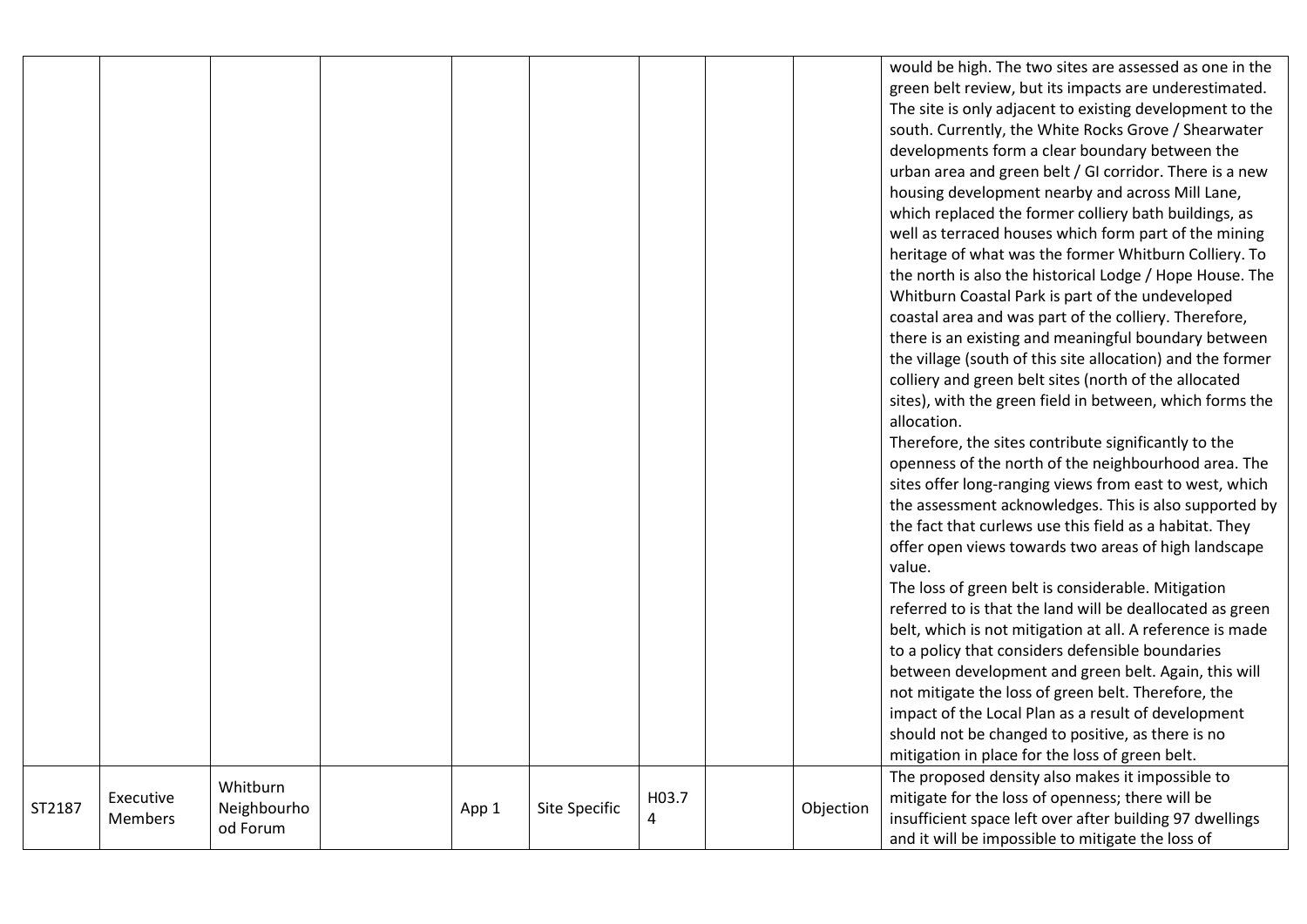|        |                      |                                     |       |                      |            |           | would be high. The two sites are assessed as one in the<br>green belt review, but its impacts are underestimated.<br>The site is only adjacent to existing development to the<br>south. Currently, the White Rocks Grove / Shearwater<br>developments form a clear boundary between the<br>urban area and green belt / GI corridor. There is a new<br>housing development nearby and across Mill Lane,<br>which replaced the former colliery bath buildings, as<br>well as terraced houses which form part of the mining<br>heritage of what was the former Whitburn Colliery. To<br>the north is also the historical Lodge / Hope House. The<br>Whitburn Coastal Park is part of the undeveloped<br>coastal area and was part of the colliery. Therefore,<br>there is an existing and meaningful boundary between<br>the village (south of this site allocation) and the former<br>colliery and green belt sites (north of the allocated<br>sites), with the green field in between, which forms the<br>allocation.<br>Therefore, the sites contribute significantly to the<br>openness of the north of the neighbourhood area. The<br>sites offer long-ranging views from east to west, which<br>the assessment acknowledges. This is also supported by<br>the fact that curlews use this field as a habitat. They<br>offer open views towards two areas of high landscape<br>value.<br>The loss of green belt is considerable. Mitigation<br>referred to is that the land will be deallocated as green<br>belt, which is not mitigation at all. A reference is made<br>to a policy that considers defensible boundaries<br>between development and green belt. Again, this will<br>not mitigate the loss of green belt. Therefore, the<br>impact of the Local Plan as a result of development<br>should not be changed to positive, as there is no<br>mitigation in place for the loss of green belt.<br>The proposed density also makes it impossible to |
|--------|----------------------|-------------------------------------|-------|----------------------|------------|-----------|--------------------------------------------------------------------------------------------------------------------------------------------------------------------------------------------------------------------------------------------------------------------------------------------------------------------------------------------------------------------------------------------------------------------------------------------------------------------------------------------------------------------------------------------------------------------------------------------------------------------------------------------------------------------------------------------------------------------------------------------------------------------------------------------------------------------------------------------------------------------------------------------------------------------------------------------------------------------------------------------------------------------------------------------------------------------------------------------------------------------------------------------------------------------------------------------------------------------------------------------------------------------------------------------------------------------------------------------------------------------------------------------------------------------------------------------------------------------------------------------------------------------------------------------------------------------------------------------------------------------------------------------------------------------------------------------------------------------------------------------------------------------------------------------------------------------------------------------------------------------------------------------------------------------------------------------------------------|
| ST2187 | Executive<br>Members | Whitburn<br>Neighbourho<br>od Forum | App 1 | <b>Site Specific</b> | H03.7<br>4 | Objection | mitigate for the loss of openness; there will be<br>insufficient space left over after building 97 dwellings<br>and it will be impossible to mitigate the loss of                                                                                                                                                                                                                                                                                                                                                                                                                                                                                                                                                                                                                                                                                                                                                                                                                                                                                                                                                                                                                                                                                                                                                                                                                                                                                                                                                                                                                                                                                                                                                                                                                                                                                                                                                                                            |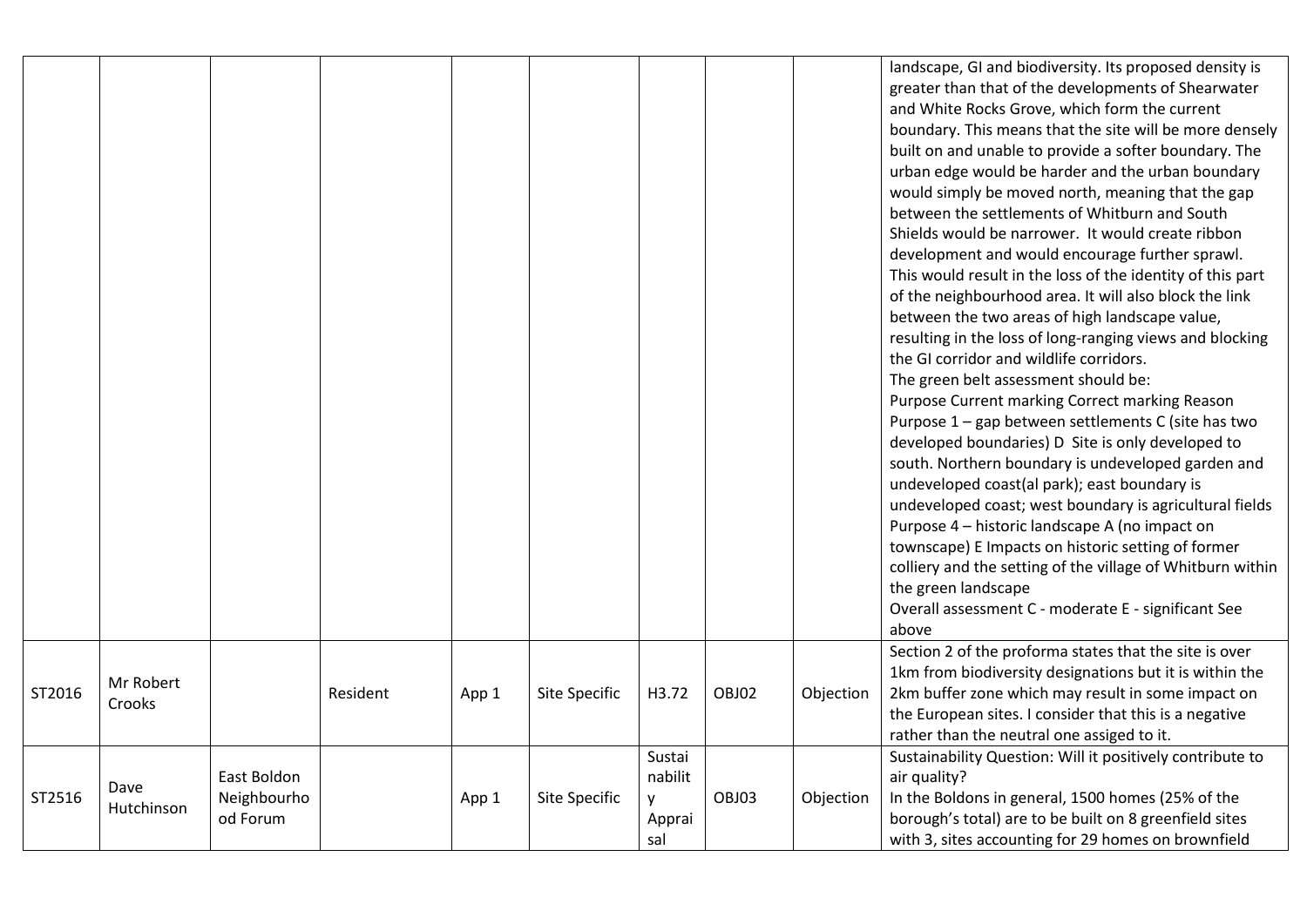|        |                     |                                        |          |       |               |                                         |       |           | landscape, GI and biodiversity. Its proposed density is<br>greater than that of the developments of Shearwater<br>and White Rocks Grove, which form the current<br>boundary. This means that the site will be more densely<br>built on and unable to provide a softer boundary. The<br>urban edge would be harder and the urban boundary<br>would simply be moved north, meaning that the gap<br>between the settlements of Whitburn and South<br>Shields would be narrower. It would create ribbon<br>development and would encourage further sprawl.<br>This would result in the loss of the identity of this part<br>of the neighbourhood area. It will also block the link<br>between the two areas of high landscape value,<br>resulting in the loss of long-ranging views and blocking<br>the GI corridor and wildlife corridors.<br>The green belt assessment should be:<br>Purpose Current marking Correct marking Reason<br>Purpose 1 - gap between settlements C (site has two<br>developed boundaries) D Site is only developed to<br>south. Northern boundary is undeveloped garden and<br>undeveloped coast(al park); east boundary is<br>undeveloped coast; west boundary is agricultural fields<br>Purpose 4 - historic landscape A (no impact on<br>townscape) E Impacts on historic setting of former<br>colliery and the setting of the village of Whitburn within<br>the green landscape<br>Overall assessment C - moderate E - significant See<br>above |
|--------|---------------------|----------------------------------------|----------|-------|---------------|-----------------------------------------|-------|-----------|-----------------------------------------------------------------------------------------------------------------------------------------------------------------------------------------------------------------------------------------------------------------------------------------------------------------------------------------------------------------------------------------------------------------------------------------------------------------------------------------------------------------------------------------------------------------------------------------------------------------------------------------------------------------------------------------------------------------------------------------------------------------------------------------------------------------------------------------------------------------------------------------------------------------------------------------------------------------------------------------------------------------------------------------------------------------------------------------------------------------------------------------------------------------------------------------------------------------------------------------------------------------------------------------------------------------------------------------------------------------------------------------------------------------------------------------------------------------------------|
| ST2016 | Mr Robert<br>Crooks |                                        | Resident | App 1 | Site Specific | H3.72                                   | OBJ02 | Objection | Section 2 of the proforma states that the site is over<br>1km from biodiversity designations but it is within the<br>2km buffer zone which may result in some impact on<br>the European sites. I consider that this is a negative<br>rather than the neutral one assiged to it.                                                                                                                                                                                                                                                                                                                                                                                                                                                                                                                                                                                                                                                                                                                                                                                                                                                                                                                                                                                                                                                                                                                                                                                             |
| ST2516 | Dave<br>Hutchinson  | East Boldon<br>Neighbourho<br>od Forum |          | App 1 | Site Specific | Sustai<br>nabilit<br>y<br>Apprai<br>sal | OBJ03 | Objection | Sustainability Question: Will it positively contribute to<br>air quality?<br>In the Boldons in general, 1500 homes (25% of the<br>borough's total) are to be built on 8 greenfield sites<br>with 3, sites accounting for 29 homes on brownfield                                                                                                                                                                                                                                                                                                                                                                                                                                                                                                                                                                                                                                                                                                                                                                                                                                                                                                                                                                                                                                                                                                                                                                                                                             |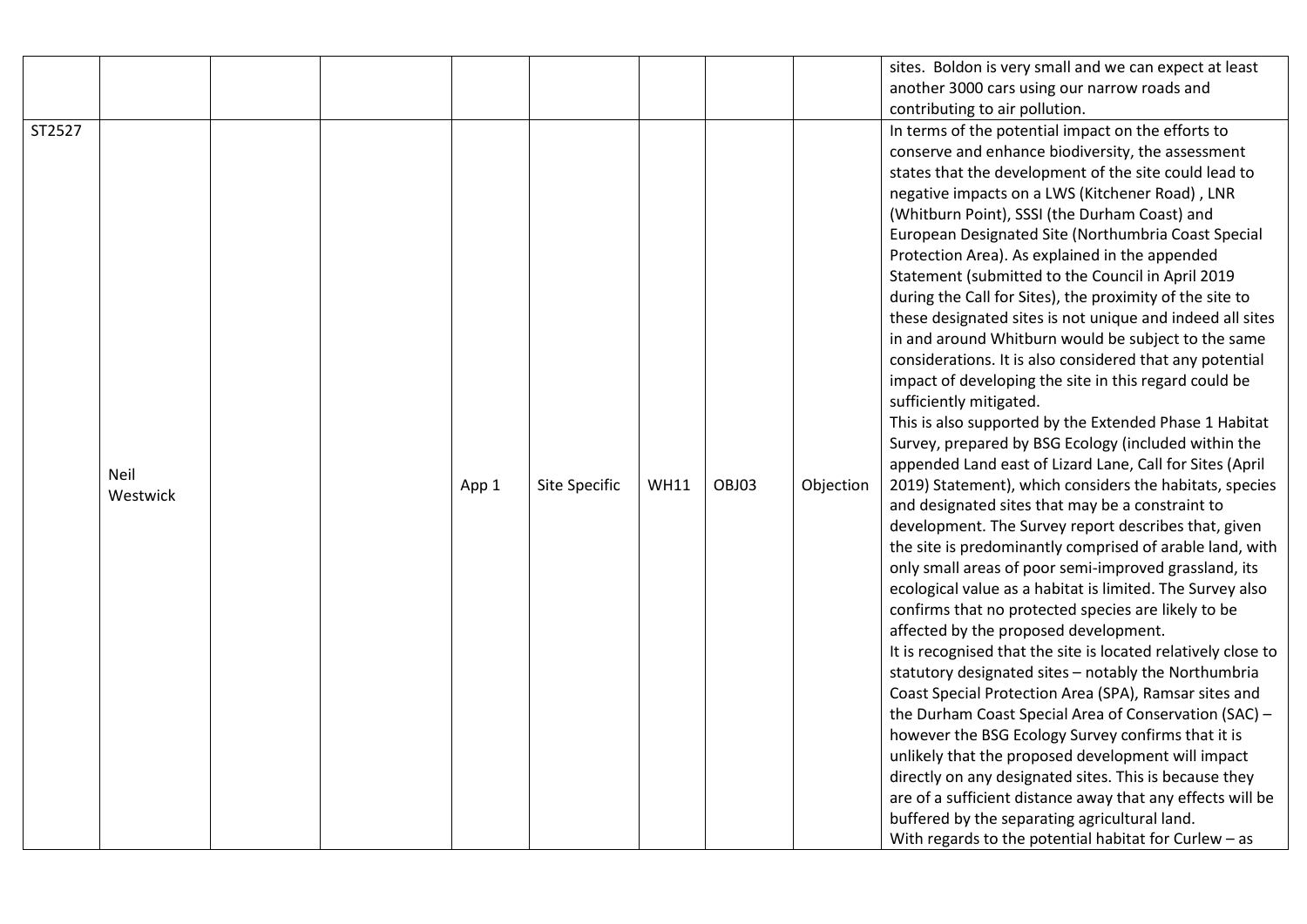|        |                         |  |       |               |             |       |           | sites. Boldon is very small and we can expect at least                                                                                                                                                                                                                                                                                                                                                                                                                                                                                                                                                                                                                                                                                                                                                                                                                                                                                                                                                                                                                                                                                                                                                                                                                                                                                                                                                                                                                                                                                                                                                                                                                                                                                                                                                                                                                                                                                                                                             |
|--------|-------------------------|--|-------|---------------|-------------|-------|-----------|----------------------------------------------------------------------------------------------------------------------------------------------------------------------------------------------------------------------------------------------------------------------------------------------------------------------------------------------------------------------------------------------------------------------------------------------------------------------------------------------------------------------------------------------------------------------------------------------------------------------------------------------------------------------------------------------------------------------------------------------------------------------------------------------------------------------------------------------------------------------------------------------------------------------------------------------------------------------------------------------------------------------------------------------------------------------------------------------------------------------------------------------------------------------------------------------------------------------------------------------------------------------------------------------------------------------------------------------------------------------------------------------------------------------------------------------------------------------------------------------------------------------------------------------------------------------------------------------------------------------------------------------------------------------------------------------------------------------------------------------------------------------------------------------------------------------------------------------------------------------------------------------------------------------------------------------------------------------------------------------------|
|        |                         |  |       |               |             |       |           | another 3000 cars using our narrow roads and                                                                                                                                                                                                                                                                                                                                                                                                                                                                                                                                                                                                                                                                                                                                                                                                                                                                                                                                                                                                                                                                                                                                                                                                                                                                                                                                                                                                                                                                                                                                                                                                                                                                                                                                                                                                                                                                                                                                                       |
|        |                         |  |       |               |             |       |           | contributing to air pollution.                                                                                                                                                                                                                                                                                                                                                                                                                                                                                                                                                                                                                                                                                                                                                                                                                                                                                                                                                                                                                                                                                                                                                                                                                                                                                                                                                                                                                                                                                                                                                                                                                                                                                                                                                                                                                                                                                                                                                                     |
| ST2527 | <b>Neil</b><br>Westwick |  | App 1 | Site Specific | <b>WH11</b> | OBJ03 | Objection | In terms of the potential impact on the efforts to<br>conserve and enhance biodiversity, the assessment<br>states that the development of the site could lead to<br>negative impacts on a LWS (Kitchener Road), LNR<br>(Whitburn Point), SSSI (the Durham Coast) and<br>European Designated Site (Northumbria Coast Special<br>Protection Area). As explained in the appended<br>Statement (submitted to the Council in April 2019<br>during the Call for Sites), the proximity of the site to<br>these designated sites is not unique and indeed all sites<br>in and around Whitburn would be subject to the same<br>considerations. It is also considered that any potential<br>impact of developing the site in this regard could be<br>sufficiently mitigated.<br>This is also supported by the Extended Phase 1 Habitat<br>Survey, prepared by BSG Ecology (included within the<br>appended Land east of Lizard Lane, Call for Sites (April<br>2019) Statement), which considers the habitats, species<br>and designated sites that may be a constraint to<br>development. The Survey report describes that, given<br>the site is predominantly comprised of arable land, with<br>only small areas of poor semi-improved grassland, its<br>ecological value as a habitat is limited. The Survey also<br>confirms that no protected species are likely to be<br>affected by the proposed development.<br>It is recognised that the site is located relatively close to<br>statutory designated sites - notably the Northumbria<br>Coast Special Protection Area (SPA), Ramsar sites and<br>the Durham Coast Special Area of Conservation (SAC) -<br>however the BSG Ecology Survey confirms that it is<br>unlikely that the proposed development will impact<br>directly on any designated sites. This is because they<br>are of a sufficient distance away that any effects will be<br>buffered by the separating agricultural land.<br>With regards to the potential habitat for Curlew - as |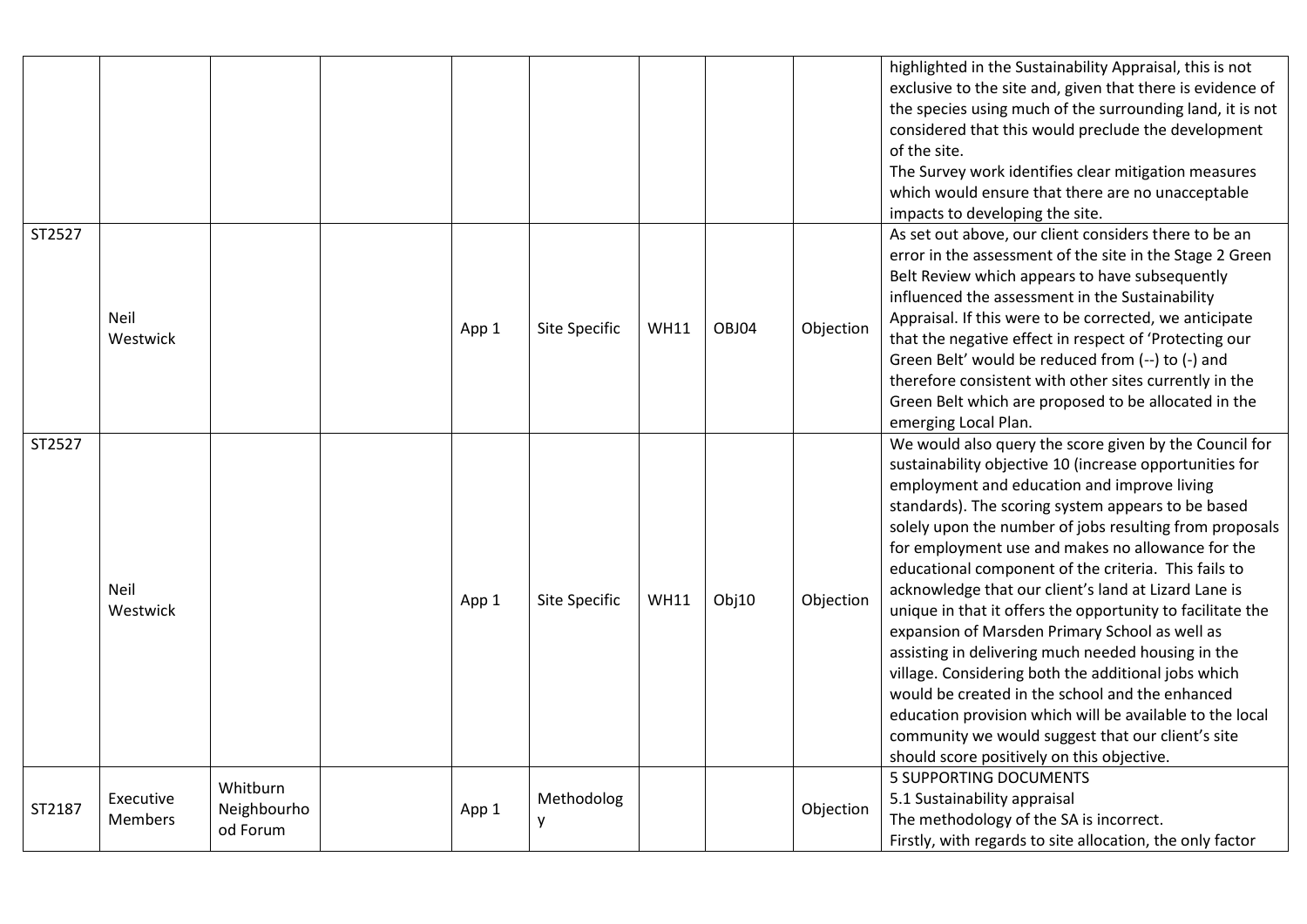|        |                             |                                     |  |       |                 |             |       |           | highlighted in the Sustainability Appraisal, this is not<br>exclusive to the site and, given that there is evidence of<br>the species using much of the surrounding land, it is not<br>considered that this would preclude the development |
|--------|-----------------------------|-------------------------------------|--|-------|-----------------|-------------|-------|-----------|--------------------------------------------------------------------------------------------------------------------------------------------------------------------------------------------------------------------------------------------|
|        |                             |                                     |  |       |                 |             |       |           | of the site.                                                                                                                                                                                                                               |
|        |                             |                                     |  |       |                 |             |       |           | The Survey work identifies clear mitigation measures<br>which would ensure that there are no unacceptable                                                                                                                                  |
|        |                             |                                     |  |       |                 |             |       |           | impacts to developing the site.                                                                                                                                                                                                            |
| ST2527 |                             |                                     |  |       |                 |             |       |           | As set out above, our client considers there to be an                                                                                                                                                                                      |
|        |                             |                                     |  |       |                 |             |       |           | error in the assessment of the site in the Stage 2 Green                                                                                                                                                                                   |
|        |                             |                                     |  |       |                 |             |       |           | Belt Review which appears to have subsequently                                                                                                                                                                                             |
|        |                             |                                     |  |       |                 |             | OBJ04 |           | influenced the assessment in the Sustainability                                                                                                                                                                                            |
|        | Neil                        |                                     |  | App 1 |                 | <b>WH11</b> |       | Objection | Appraisal. If this were to be corrected, we anticipate                                                                                                                                                                                     |
|        | Westwick                    |                                     |  |       | Site Specific   |             |       |           | that the negative effect in respect of 'Protecting our                                                                                                                                                                                     |
|        |                             |                                     |  |       |                 |             |       |           | Green Belt' would be reduced from (--) to (-) and                                                                                                                                                                                          |
|        |                             |                                     |  |       |                 |             |       |           | therefore consistent with other sites currently in the                                                                                                                                                                                     |
|        |                             |                                     |  |       |                 |             |       |           | Green Belt which are proposed to be allocated in the                                                                                                                                                                                       |
|        |                             |                                     |  |       |                 |             |       |           | emerging Local Plan.                                                                                                                                                                                                                       |
| ST2527 |                             |                                     |  |       |                 |             |       |           | We would also query the score given by the Council for                                                                                                                                                                                     |
|        | Neil<br>Westwick            |                                     |  | App 1 | Site Specific   | <b>WH11</b> | Obj10 | Objection | sustainability objective 10 (increase opportunities for                                                                                                                                                                                    |
|        |                             |                                     |  |       |                 |             |       |           | employment and education and improve living<br>standards). The scoring system appears to be based                                                                                                                                          |
|        |                             |                                     |  |       |                 |             |       |           | solely upon the number of jobs resulting from proposals                                                                                                                                                                                    |
|        |                             |                                     |  |       |                 |             |       |           | for employment use and makes no allowance for the                                                                                                                                                                                          |
|        |                             |                                     |  |       |                 |             |       |           | educational component of the criteria. This fails to                                                                                                                                                                                       |
|        |                             |                                     |  |       |                 |             |       |           | acknowledge that our client's land at Lizard Lane is                                                                                                                                                                                       |
|        |                             |                                     |  |       |                 |             |       |           | unique in that it offers the opportunity to facilitate the                                                                                                                                                                                 |
|        |                             |                                     |  |       |                 |             |       |           | expansion of Marsden Primary School as well as                                                                                                                                                                                             |
|        |                             |                                     |  |       |                 |             |       |           | assisting in delivering much needed housing in the                                                                                                                                                                                         |
|        |                             |                                     |  |       |                 |             |       |           | village. Considering both the additional jobs which                                                                                                                                                                                        |
|        |                             |                                     |  |       |                 |             |       |           | would be created in the school and the enhanced                                                                                                                                                                                            |
|        |                             |                                     |  |       |                 |             |       |           | education provision which will be available to the local                                                                                                                                                                                   |
|        |                             |                                     |  |       |                 |             |       |           | community we would suggest that our client's site                                                                                                                                                                                          |
|        |                             |                                     |  |       |                 |             |       |           | should score positively on this objective.                                                                                                                                                                                                 |
|        | Executive<br><b>Members</b> | Whitburn<br>Neighbourho<br>od Forum |  | App 1 | Methodolog<br>y |             |       | Objection | <b>5 SUPPORTING DOCUMENTS</b>                                                                                                                                                                                                              |
| ST2187 |                             |                                     |  |       |                 |             |       |           | 5.1 Sustainability appraisal                                                                                                                                                                                                               |
|        |                             |                                     |  |       |                 |             |       |           | The methodology of the SA is incorrect.                                                                                                                                                                                                    |
|        |                             |                                     |  |       |                 |             |       |           | Firstly, with regards to site allocation, the only factor                                                                                                                                                                                  |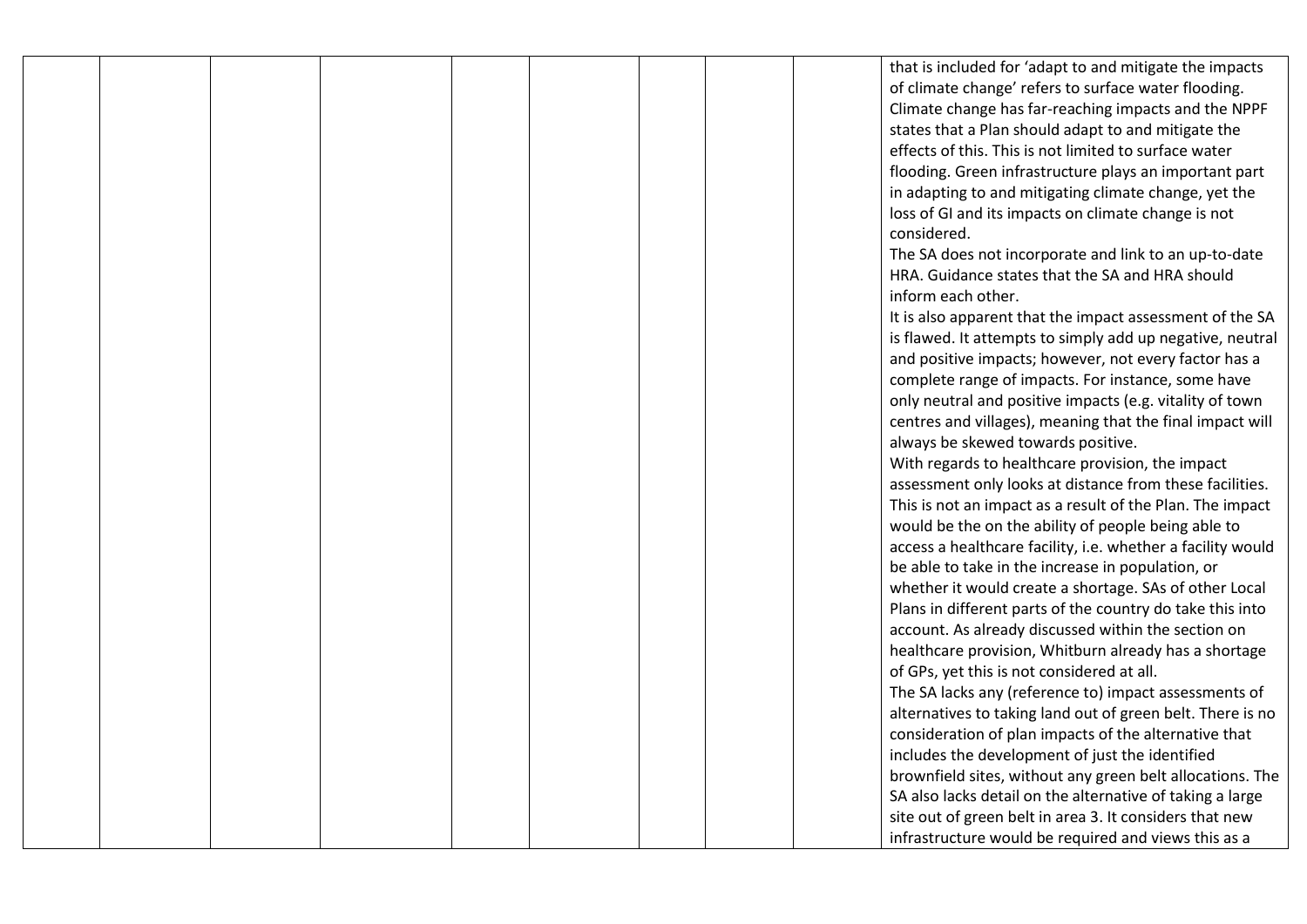that is included for 'adapt to and mitigate the impacts of climate change' refers to surface water flooding. Climate change has far-reaching impacts and the NPPF states that a Plan should adapt to and mitigate the effects of this. This is not limited to surface water flooding. Green infrastructure plays an important part in adapting to and mitigating climate change, yet the loss of GI and its impacts on climate change is not considered.

The SA does not incorporate and link to an up-to-date HRA. Guidance states that the SA and HRA should inform each other.

It is also apparent that the impact assessment of the SA is flawed. It attempts to simply add up negative, neutral and positive impacts; however, not every factor has a complete range of impacts. For instance, some have only neutral and positive impacts (e.g. vitality of town centres and villages), meaning that the final impact will always be skewed towards positive.

With regards to healthcare provision, the impact assessment only looks at distance from these facilities. This is not an impact as a result of the Plan. The impact would be the on the ability of people being able to access a healthcare facility, i.e. whether a facility would be able to take in the increase in population, or whether it would create a shortage. SAs of other Local Plans in different parts of the country do take this into account. As already discussed within the section on healthcare provision, Whitburn already has a shortage of GPs, yet this is not considered at all. The SA lacks any (reference to) impact assessments of alternatives to taking land out of green belt. There is no consideration of plan impacts of the alternative that includes the development of just the identified brownfield sites, without any green belt allocations. The SA also lacks detail on the alternative of taking a large site out of green belt in area 3. It considers that new infrastructure would be required and views this as a